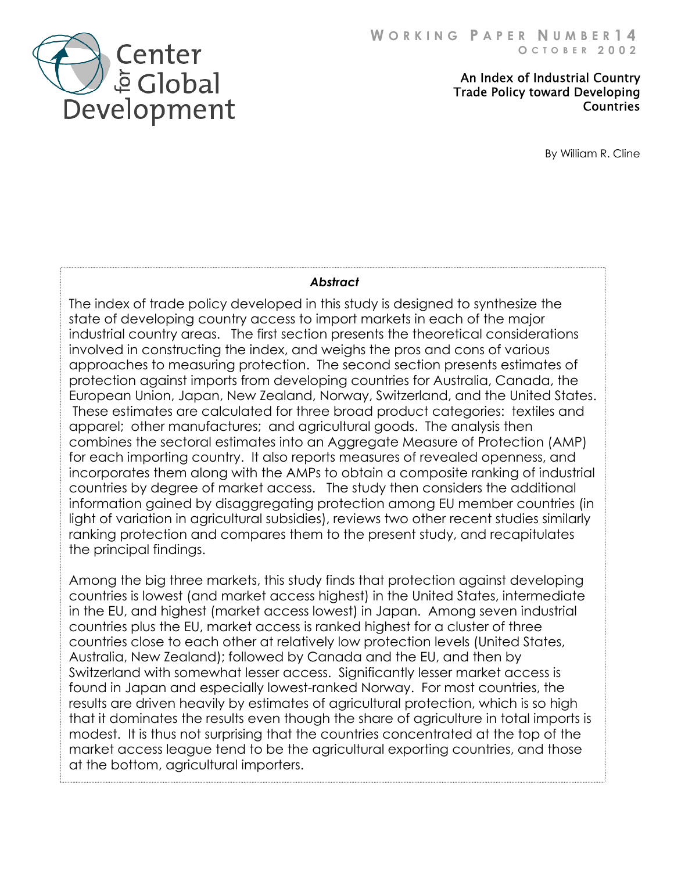

 An Index of Industrial Country Trade Policy toward Developing **Countries** 

By William R. Cline

## *Abstract*

The index of trade policy developed in this study is designed to synthesize the state of developing country access to import markets in each of the major industrial country areas. The first section presents the theoretical considerations involved in constructing the index, and weighs the pros and cons of various approaches to measuring protection. The second section presents estimate s of protection against imports from developing countries for Australia, Canada, the European Union, Japan, New Zealand, Norway, Switzerland, and the United Stat es. These estimates are calculated for three broad product categories: textile s and apparel; other manufactures; and agricultural goods. The analysis then combines the sectoral estimates into an Aggregate Measure of Protection (AMP) for each importing country. It also reports measures of revealed openness, and incorporates them along with the AMPs to obtain a composite ranking of industrial countries by degree of market access. The study then considers the additional information gained by disaggregating protection among EU member countries (in light of variation in agricultural subsidies), reviews two other recent studies similarly ranking protection and compares them to the present study, and recapitulates the principal findings.

Among the big three markets, this study finds that protection against developing countries is lowest (and market access highest) in the United States, intermediate in the EU, and highest (market access lowest) in Japan. Among seven industrial countries plus the EU, market access is ranked highest for a cluster of three countries close to each other at relatively low protection levels (United States, Australia, New Zealand); followed by Canada and the EU, and then by Switzerland with somewhat lesser access. Significantly lesser market access is found in Japan and especially lowest-ranked Norway. For most countries, the results are driven heavily by estimates of agricultural protection, which is so high that it dominates the results even though the share of agriculture in total imports is modest. It is thus not surprising that the countries concentrated at the top of th e market access league tend to be the agricultural exporting countries, and those at the bottom, agricult ural importers.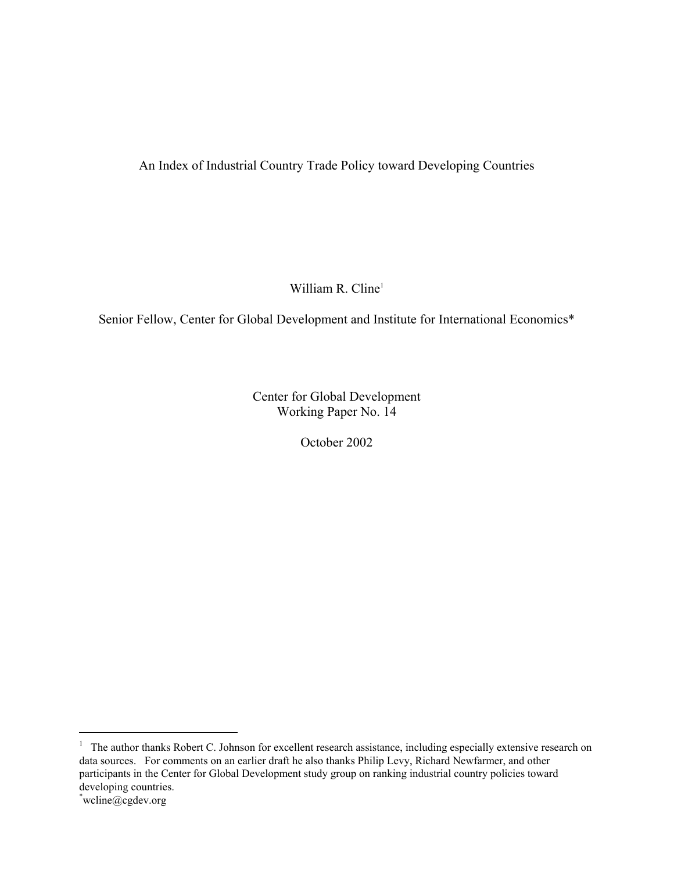# An Index of Industrial Country Trade Policy toward Developing Countries

William R. Cline $<sup>1</sup>$ </sup>

Senior Fellow, Center for Global Development and Institute for International Economic[s\\*](#page-2-1) 

Center for Global Development Working Paper No. 14

October 2002

 $\overline{\phantom{0}}$ 

<span id="page-2-0"></span> $1$  The author thanks Robert C. Johnson for excellent research assistance, including especially extensive research on data sources. For comments on an earlier draft he also thanks Philip Levy, Richard Newfarmer, and other participants in the Center for Global Development study group on ranking industrial country policies toward developing countries.

<span id="page-2-1"></span>wcline@cgdev.org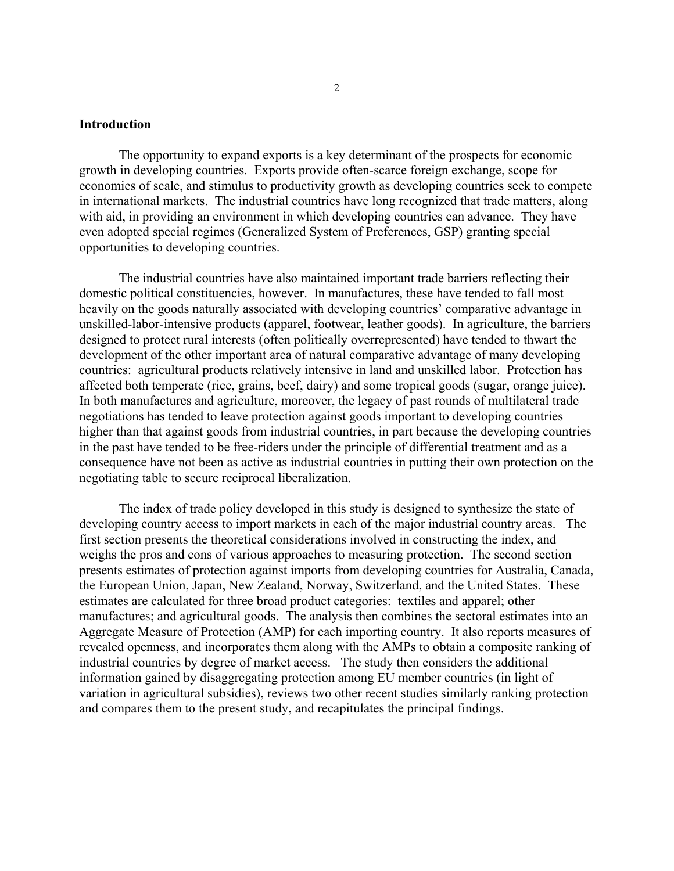#### **Introduction**

 The opportunity to expand exports is a key determinant of the prospects for economic growth in developing countries. Exports provide often-scarce foreign exchange, scope for economies of scale, and stimulus to productivity growth as developing countries seek to compete in international markets. The industrial countries have long recognized that trade matters, along with aid, in providing an environment in which developing countries can advance. They have even adopted special regimes (Generalized System of Preferences, GSP) granting special opportunities to developing countries.

 The industrial countries have also maintained important trade barriers reflecting their domestic political constituencies, however. In manufactures, these have tended to fall most heavily on the goods naturally associated with developing countries' comparative advantage in unskilled-labor-intensive products (apparel, footwear, leather goods). In agriculture, the barriers designed to protect rural interests (often politically overrepresented) have tended to thwart the development of the other important area of natural comparative advantage of many developing countries: agricultural products relatively intensive in land and unskilled labor. Protection has affected both temperate (rice, grains, beef, dairy) and some tropical goods (sugar, orange juice). In both manufactures and agriculture, moreover, the legacy of past rounds of multilateral trade negotiations has tended to leave protection against goods important to developing countries higher than that against goods from industrial countries, in part because the developing countries in the past have tended to be free-riders under the principle of differential treatment and as a consequence have not been as active as industrial countries in putting their own protection on the negotiating table to secure reciprocal liberalization.

 The index of trade policy developed in this study is designed to synthesize the state of developing country access to import markets in each of the major industrial country areas. The first section presents the theoretical considerations involved in constructing the index, and weighs the pros and cons of various approaches to measuring protection. The second section presents estimates of protection against imports from developing countries for Australia, Canada, the European Union, Japan, New Zealand, Norway, Switzerland, and the United States. These estimates are calculated for three broad product categories: textiles and apparel; other manufactures; and agricultural goods. The analysis then combines the sectoral estimates into an Aggregate Measure of Protection (AMP) for each importing country. It also reports measures of revealed openness, and incorporates them along with the AMPs to obtain a composite ranking of industrial countries by degree of market access. The study then considers the additional information gained by disaggregating protection among EU member countries (in light of variation in agricultural subsidies), reviews two other recent studies similarly ranking protection and compares them to the present study, and recapitulates the principal findings.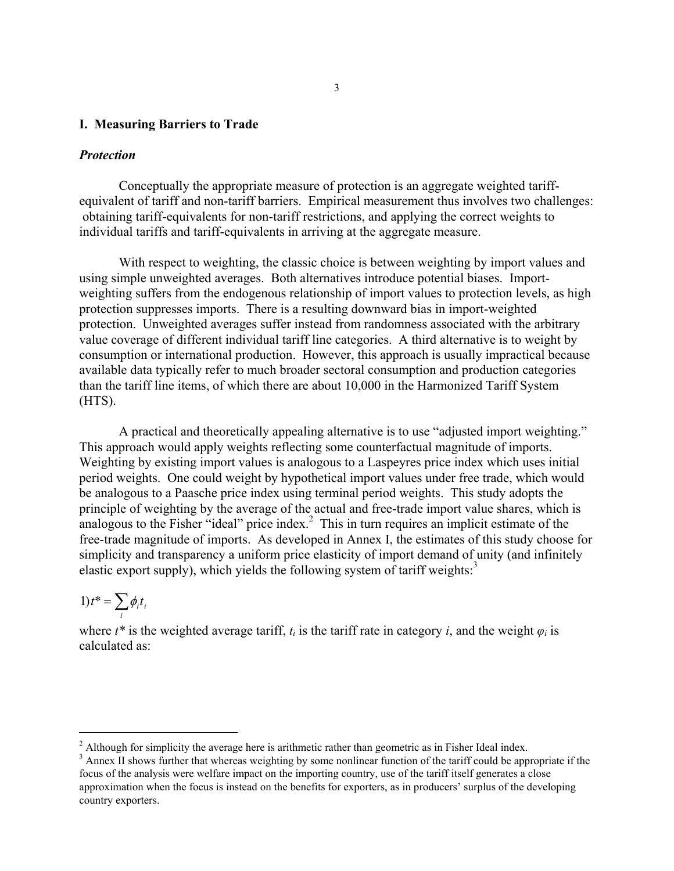#### **I. Measuring Barriers to Trade**

#### *Protection*

Conceptually the appropriate measure of protection is an aggregate weighted tariffequivalent of tariff and non-tariff barriers. Empirical measurement thus involves two challenges: obtaining tariff-equivalents for non-tariff restrictions, and applying the correct weights to individual tariffs and tariff-equivalents in arriving at the aggregate measure.

With respect to weighting, the classic choice is between weighting by import values and using simple unweighted averages. Both alternatives introduce potential biases. Importweighting suffers from the endogenous relationship of import values to protection levels, as high protection suppresses imports. There is a resulting downward bias in import-weighted protection. Unweighted averages suffer instead from randomness associated with the arbitrary value coverage of different individual tariff line categories. A third alternative is to weight by consumption or international production. However, this approach is usually impractical because available data typically refer to much broader sectoral consumption and production categories than the tariff line items, of which there are about 10,000 in the Harmonized Tariff System (HTS).

A practical and theoretically appealing alternative is to use "adjusted import weighting." This approach would apply weights reflecting some counterfactual magnitude of imports. Weighting by existing import values is analogous to a Laspeyres price index which uses initial period weights. One could weight by hypothetical import values under free trade, which would be analogous to a Paasche price index using terminal period weights. This study adopts the principle of weighting by the average of the actual and free-trade import value shares, which is analogous to the Fisher "ideal" price index.<sup>[2](#page-4-0)</sup> This in turn requires an implicit estimate of the free-trade magnitude of imports. As developed in Annex I, the estimates of this study choose for simplicity and transparency a uniform price elasticity of import demand of unity (and infinitely elastic export supply), which yields the following system of tariff weights: $3$ 

$$
1)t^* = \sum_i \phi_i t_i
$$

i<br>I

where  $t^*$  is the weighted average tariff,  $t_i$  is the tariff rate in category *i*, and the weight  $\varphi_i$  is calculated as:

<span id="page-4-0"></span><sup>&</sup>lt;sup>2</sup> Although for simplicity the average here is arithmetic rather than geometric as in Fisher Ideal index.

<span id="page-4-1"></span><sup>&</sup>lt;sup>3</sup> Annex II shows further that whereas weighting by some nonlinear function of the tariff could be appropriate if the focus of the analysis were welfare impact on the importing country, use of the tariff itself generates a close approximation when the focus is instead on the benefits for exporters, as in producers' surplus of the developing country exporters.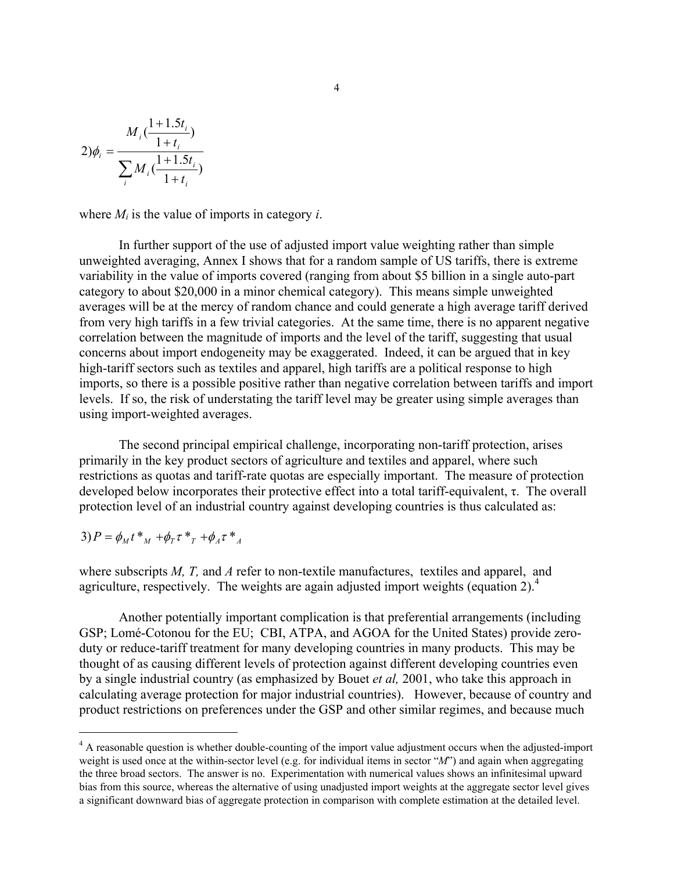$$
2)\phi_i = \frac{M_i(\frac{1+1.5t_i}{1+t_i})}{\sum_i M_i(\frac{1+1.5t_i}{1+t_i})}
$$

where  $M_i$  is the value of imports in category *i*.

In further support of the use of adjusted import value weighting rather than simple unweighted averaging, Annex I shows that for a random sample of US tariffs, there is extreme variability in the value of imports covered (ranging from about \$5 billion in a single auto-part category to about \$20,000 in a minor chemical category). This means simple unweighted averages will be at the mercy of random chance and could generate a high average tariff derived from very high tariffs in a few trivial categories. At the same time, there is no apparent negative correlation between the magnitude of imports and the level of the tariff, suggesting that usual concerns about import endogeneity may be exaggerated. Indeed, it can be argued that in key high-tariff sectors such as textiles and apparel, high tariffs are a political response to high imports, so there is a possible positive rather than negative correlation between tariffs and import levels. If so, the risk of understating the tariff level may be greater using simple averages than using import-weighted averages.

The second principal empirical challenge, incorporating non-tariff protection, arises primarily in the key product sectors of agriculture and textiles and apparel, where such restrictions as quotas and tariff-rate quotas are especially important. The measure of protection developed below incorporates their protective effect into a total tariff-equivalent, τ. The overall protection level of an industrial country against developing countries is thus calculated as:

$$
3) P = \phi_M t *_{_M} + \phi_T \tau *_{_T} + \phi_A \tau *_{_A}
$$

i<br>I

where subscripts *M, T,* and *A* refer to non-textile manufactures, textiles and apparel, and agriculture, respectively. The weights are again adjusted import weights (equation 2).<sup>[4](#page-5-0)</sup>

Another potentially important complication is that preferential arrangements (including GSP; Lomé-Cotonou for the EU; CBI, ATPA, and AGOA for the United States) provide zeroduty or reduce-tariff treatment for many developing countries in many products. This may be thought of as causing different levels of protection against different developing countries even by a single industrial country (as emphasized by Bouet *et al,* 2001, who take this approach in calculating average protection for major industrial countries). However, because of country and product restrictions on preferences under the GSP and other similar regimes, and because much

<span id="page-5-0"></span><sup>&</sup>lt;sup>4</sup> A reasonable question is whether double-counting of the import value adjustment occurs when the adjusted-import weight is used once at the within-sector level (e.g. for individual items in sector "*M*") and again when aggregating the three broad sectors. The answer is no. Experimentation with numerical values shows an infinitesimal upward bias from this source, whereas the alternative of using unadjusted import weights at the aggregate sector level gives a significant downward bias of aggregate protection in comparison with complete estimation at the detailed level.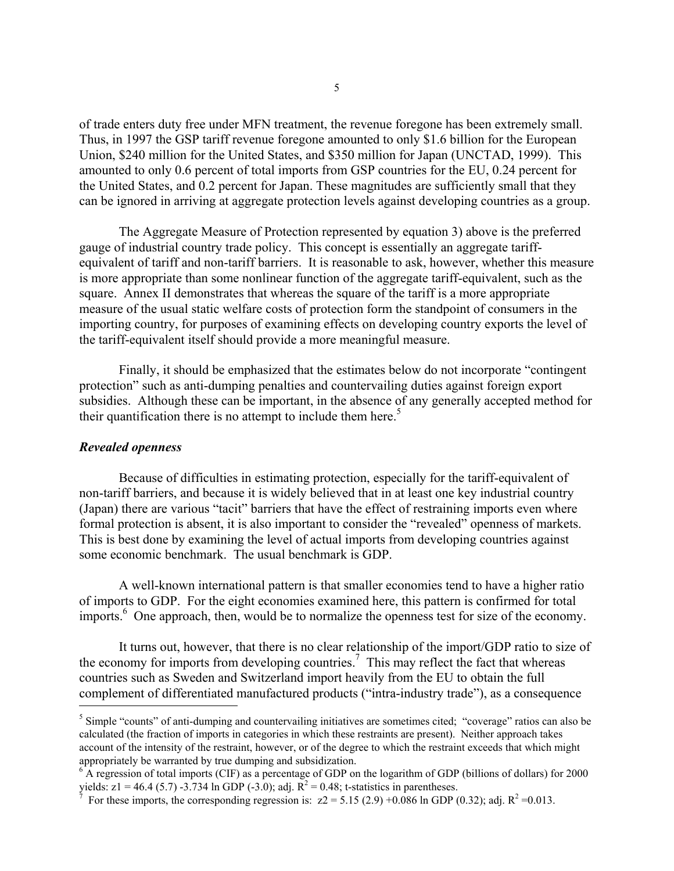of trade enters duty free under MFN treatment, the revenue foregone has been extremely small. Thus, in 1997 the GSP tariff revenue foregone amounted to only \$1.6 billion for the European Union, \$240 million for the United States, and \$350 million for Japan (UNCTAD, 1999). This amounted to only 0.6 percent of total imports from GSP countries for the EU, 0.24 percent for the United States, and 0.2 percent for Japan. These magnitudes are sufficiently small that they can be ignored in arriving at aggregate protection levels against developing countries as a group.

 The Aggregate Measure of Protection represented by equation 3) above is the preferred gauge of industrial country trade policy. This concept is essentially an aggregate tariffequivalent of tariff and non-tariff barriers. It is reasonable to ask, however, whether this measure is more appropriate than some nonlinear function of the aggregate tariff-equivalent, such as the square. Annex II demonstrates that whereas the square of the tariff is a more appropriate measure of the usual static welfare costs of protection form the standpoint of consumers in the importing country, for purposes of examining effects on developing country exports the level of the tariff-equivalent itself should provide a more meaningful measure.

 Finally, it should be emphasized that the estimates below do not incorporate "contingent protection" such as anti-dumping penalties and countervailing duties against foreign export subsidies. Although these can be important, in the absence of any generally accepted method for their quantification there is no attempt to include them here.<sup>5</sup>

#### *Revealed openness*

i<br>I

Because of difficulties in estimating protection, especially for the tariff-equivalent of non-tariff barriers, and because it is widely believed that in at least one key industrial country (Japan) there are various "tacit" barriers that have the effect of restraining imports even where formal protection is absent, it is also important to consider the "revealed" openness of markets. This is best done by examining the level of actual imports from developing countries against some economic benchmark. The usual benchmark is GDP.

 A well-known international pattern is that smaller economies tend to have a higher ratio of imports to GDP. For the eight economies examined here, this pattern is confirmed for total imports.<sup>[6](#page-6-1)</sup> One approach, then, would be to normalize the openness test for size of the economy.

 It turns out, however, that there is no clear relationship of the import/GDP ratio to size of the economy for imports from developing countries.<sup>7</sup> This may reflect the fact that whereas countries such as Sweden and Switzerland import heavily from the EU to obtain the full complement of differentiated manufactured products ("intra-industry trade"), as a consequence

<span id="page-6-0"></span><sup>&</sup>lt;sup>5</sup> Simple "counts" of anti-dumping and countervailing initiatives are sometimes cited; "coverage" ratios can also be calculated (the fraction of imports in categories in which these restraints are present). Neither approach takes account of the intensity of the restraint, however, or of the degree to which the restraint exceeds that which might appropriately be warranted by true dumping and subsidization. 6

<span id="page-6-1"></span> $6$  A regression of total imports (CIF) as a percentage of GDP on the logarithm of GDP (billions of dollars) for 2000 yields:  $z1 = 46.4$  (5.7) -3.734 ln GDP (-3.0); adj.  $R^2 = 0.48$ ; t-statistics in parentheses.

<span id="page-6-2"></span>For these imports, the corresponding regression is:  $z^2 = 5.15 (2.9) +0.086 \ln \text{GDP}(0.32)$ ; adj.  $R^2 = 0.013$ .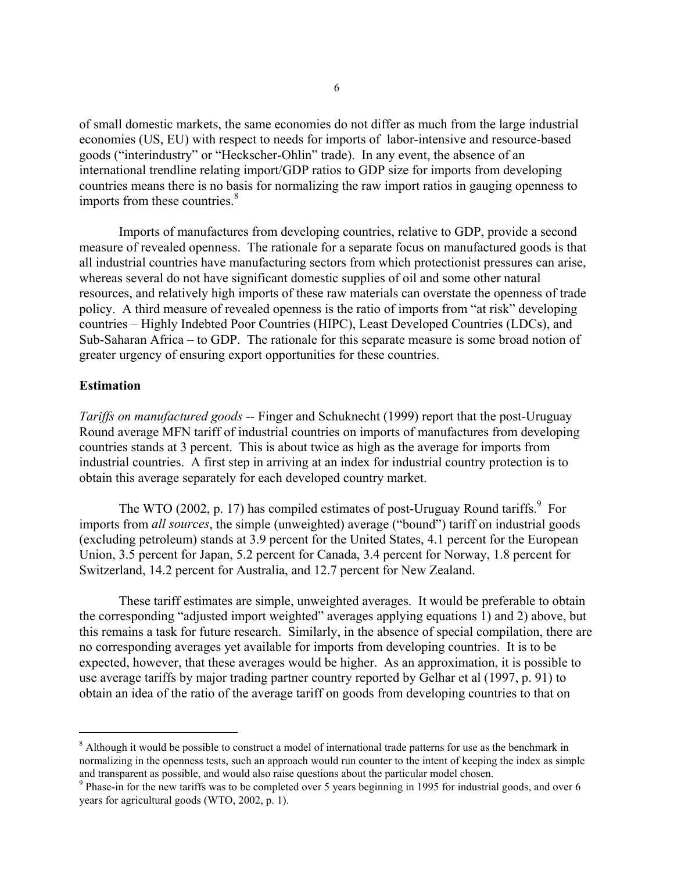of small domestic markets, the same economies do not differ as much from the large industrial economies (US, EU) with respect to needs for imports of labor-intensive and resource-based goods ("interindustry" or "Heckscher-Ohlin" trade). In any event, the absence of an international trendline relating import/GDP ratios to GDP size for imports from developing countries means there is no basis for normalizing the raw import ratios in gauging openness to imports from these countries. $8<sup>8</sup>$  $8<sup>8</sup>$ 

 Imports of manufactures from developing countries, relative to GDP, provide a second measure of revealed openness. The rationale for a separate focus on manufactured goods is that all industrial countries have manufacturing sectors from which protectionist pressures can arise, whereas several do not have significant domestic supplies of oil and some other natural resources, and relatively high imports of these raw materials can overstate the openness of trade policy. A third measure of revealed openness is the ratio of imports from "at risk" developing countries – Highly Indebted Poor Countries (HIPC), Least Developed Countries (LDCs), and Sub-Saharan Africa – to GDP. The rationale for this separate measure is some broad notion of greater urgency of ensuring export opportunities for these countries.

### **Estimation**

i<br>I

*Tariffs on manufactured goods --* Finger and Schuknecht (1999) report that the post-Uruguay Round average MFN tariff of industrial countries on imports of manufactures from developing countries stands at 3 percent. This is about twice as high as the average for imports from industrial countries. A first step in arriving at an index for industrial country protection is to obtain this average separately for each developed country market.

The WTO (2002, p. 17) has compiled estimates of post-Uruguay Round tariffs.<sup>[9](#page-7-1)</sup> For imports from *all sources*, the simple (unweighted) average ("bound") tariff on industrial goods (excluding petroleum) stands at 3.9 percent for the United States, 4.1 percent for the European Union, 3.5 percent for Japan, 5.2 percent for Canada, 3.4 percent for Norway, 1.8 percent for Switzerland, 14.2 percent for Australia, and 12.7 percent for New Zealand.

 These tariff estimates are simple, unweighted averages. It would be preferable to obtain the corresponding "adjusted import weighted" averages applying equations 1) and 2) above, but this remains a task for future research. Similarly, in the absence of special compilation, there are no corresponding averages yet available for imports from developing countries. It is to be expected, however, that these averages would be higher. As an approximation, it is possible to use average tariffs by major trading partner country reported by Gelhar et al (1997, p. 91) to obtain an idea of the ratio of the average tariff on goods from developing countries to that on

<span id="page-7-0"></span><sup>&</sup>lt;sup>8</sup> Although it would be possible to construct a model of international trade patterns for use as the benchmark in normalizing in the openness tests, such an approach would run counter to the intent of keeping the index as simple and transparent as possible, and would also raise questions about the particular model chosen.

<span id="page-7-1"></span> $^9$  Phase-in for the new tariffs was to be completed over 5 years beginning in 1995 for industrial goods, and over 6 years for agricultural goods (WTO, 2002, p. 1).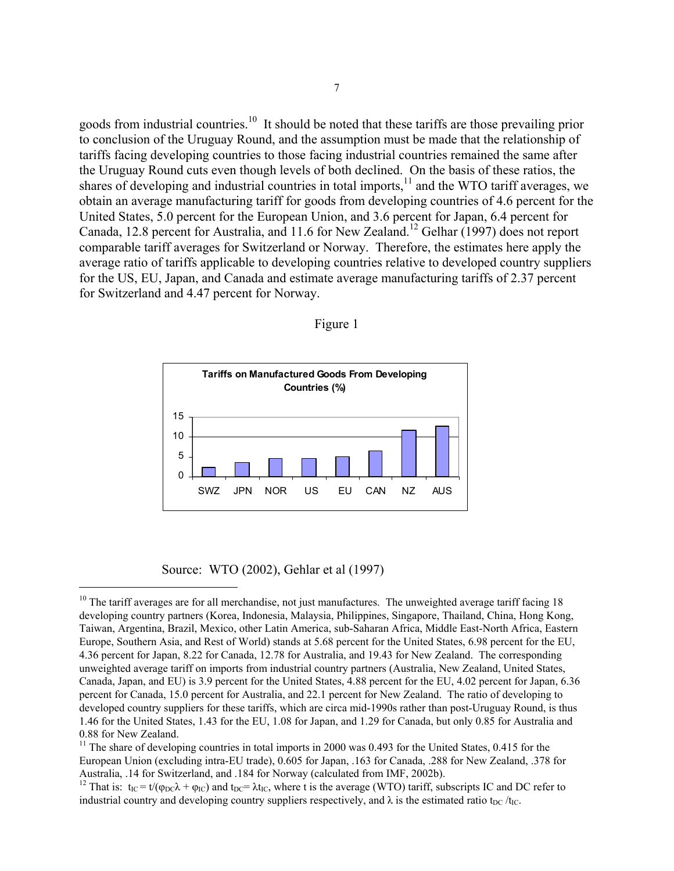goods from industrial countries.<sup>10</sup> It should be noted that these tariffs are those prevailing prior to conclusion of the Uruguay Round, and the assumption must be made that the relationship of tariffs facing developing countries to those facing industrial countries remained the same after the Uruguay Round cuts even though levels of both declined. On the basis of these ratios, the shares of developing and industrial countries in total imports,<sup>11</sup> and the WTO tariff averages, we obtain an average manufacturing tariff for goods from developing countries of 4.6 percent for the United States, 5.0 percent for the European Union, and 3.6 percent for Japan, 6.4 percent for Canada, 12.8 percent for Australia, and 11.6 for New Zealand.<sup>12</sup> Gelhar (1997) does not report comparable tariff averages for Switzerland or Norway. Therefore, the estimates here apply the average ratio of tariffs applicable to developing countries relative to developed country suppliers for the US, EU, Japan, and Canada and estimate average manufacturing tariffs of 2.37 percent for Switzerland and 4.47 percent for Norway.



Figure 1

Source: WTO (2002), Gehlar et al (1997)

i<br>I

<span id="page-8-0"></span> $10$  The tariff averages are for all merchandise, not just manufactures. The unweighted average tariff facing 18 developing country partners (Korea, Indonesia, Malaysia, Philippines, Singapore, Thailand, China, Hong Kong, Taiwan, Argentina, Brazil, Mexico, other Latin America, sub-Saharan Africa, Middle East-North Africa, Eastern Europe, Southern Asia, and Rest of World) stands at 5.68 percent for the United States, 6.98 percent for the EU, 4.36 percent for Japan, 8.22 for Canada, 12.78 for Australia, and 19.43 for New Zealand. The corresponding unweighted average tariff on imports from industrial country partners (Australia, New Zealand, United States, Canada, Japan, and EU) is 3.9 percent for the United States, 4.88 percent for the EU, 4.02 percent for Japan, 6.36 percent for Canada, 15.0 percent for Australia, and 22.1 percent for New Zealand. The ratio of developing to developed country suppliers for these tariffs, which are circa mid-1990s rather than post-Uruguay Round, is thus 1.46 for the United States, 1.43 for the EU, 1.08 for Japan, and 1.29 for Canada, but only 0.85 for Australia and

<span id="page-8-1"></span><sup>0.88</sup> for New Zealand.<br><sup>11</sup> The share of developing countries in total imports in 2000 was 0.493 for the United States, 0.415 for the European Union (excluding intra-EU trade), 0.605 for Japan, .163 for Canada, .288 for New Zealand, .378 for Australia, .14 for Switzerland, and .184 for Norway (calculated from IMF, 2002b).<br><sup>12</sup> That is: t<sub>IC</sub> = t/( $\varphi_{DC}\lambda + \varphi_{IC}$ ) and t<sub>DC</sub>=  $\lambda t_{IC}$ , where t is the average (WTO) tariff, subscripts IC and DC refer to

<span id="page-8-2"></span>industrial country and developing country suppliers respectively, and  $\lambda$  is the estimated ratio t<sub>DC</sub> /t<sub>IC</sub>.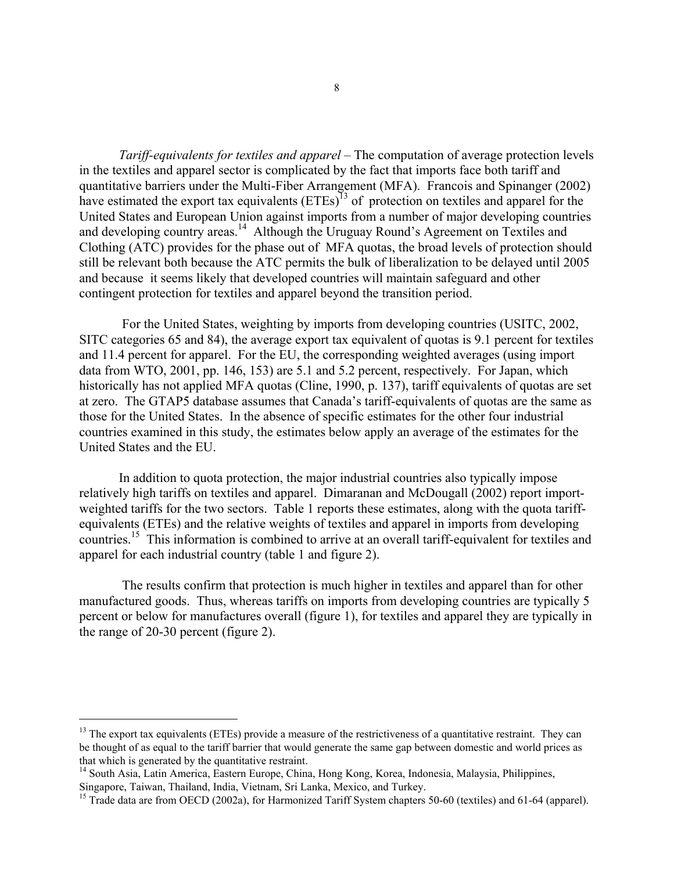*Tariff-equivalents for textiles and apparel* – The computation of average protection levels in the textiles and apparel sector is complicated by the fact that imports face both tariff and quantitative barriers under the Multi-Fiber Arrangement (MFA). Francois and Spinanger (2002) have estimated the export tax equivalents (ETEs)<sup>13</sup> of protection on textiles and apparel for the United States and European Union against imports from a number of major developing countries and developing country areas.<sup>14</sup> Although the Uruguay Round's Agreement on Textiles and Clothing (ATC) provides for the phase out of MFA quotas, the broad levels of protection should still be relevant both because the ATC permits the bulk of liberalization to be delayed until 2005 and because it seems likely that developed countries will maintain safeguard and other contingent protection for textiles and apparel beyond the transition period.

 For the United States, weighting by imports from developing countries (USITC, 2002, SITC categories 65 and 84), the average export tax equivalent of quotas is 9.1 percent for textiles and 11.4 percent for apparel. For the EU, the corresponding weighted averages (using import data from WTO, 2001, pp. 146, 153) are 5.1 and 5.2 percent, respectively. For Japan, which historically has not applied MFA quotas (Cline, 1990, p. 137), tariff equivalents of quotas are set at zero. The GTAP5 database assumes that Canada's tariff-equivalents of quotas are the same as those for the United States. In the absence of specific estimates for the other four industrial countries examined in this study, the estimates below apply an average of the estimates for the United States and the EU.

In addition to quota protection, the major industrial countries also typically impose relatively high tariffs on textiles and apparel. Dimaranan and McDougall (2002) report importweighted tariffs for the two sectors. Table 1 reports these estimates, along with the quota tariffequivalents (ETEs) and the relative weights of textiles and apparel in imports from developing countries[.15](#page-9-2) This information is combined to arrive at an overall tariff-equivalent for textiles and apparel for each industrial country (table 1 and figure 2).

 The results confirm that protection is much higher in textiles and apparel than for other manufactured goods. Thus, whereas tariffs on imports from developing countries are typically 5 percent or below for manufactures overall (figure 1), for textiles and apparel they are typically in the range of 20-30 percent (figure 2).

i<br>I

<span id="page-9-0"></span> $<sup>13</sup>$  The export tax equivalents (ETEs) provide a measure of the restrictiveness of a quantitative restraint. They can</sup> be thought of as equal to the tariff barrier that would generate the same gap between domestic and world prices as that which is generated by the quantitative restraint.

<span id="page-9-1"></span><sup>&</sup>lt;sup>14</sup> South Asia, Latin America, Eastern Europe, China, Hong Kong, Korea, Indonesia, Malaysia, Philippines, Singapore, Taiwan, Thailand, India, Vietnam, Sri Lanka, Mexico, and Turkey.

<span id="page-9-2"></span><sup>&</sup>lt;sup>15</sup> Trade data are from OECD (2002a), for Harmonized Tariff System chapters 50-60 (textiles) and 61-64 (apparel).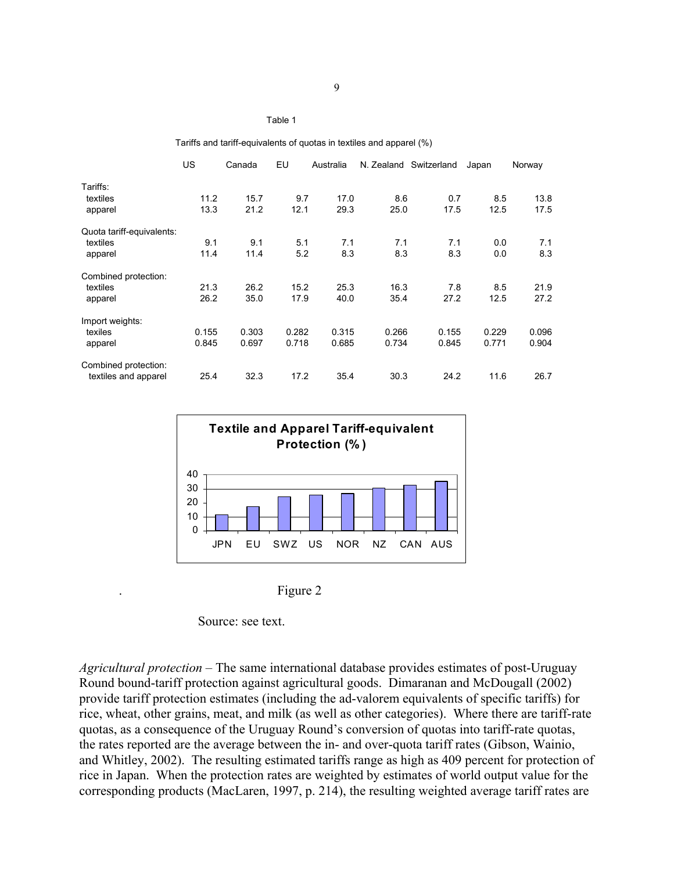#### Table 1

Tariffs and tariff-equivalents of quotas in textiles and apparel (%)

|                           | US.   | Canada | EU    | Australia | N. Zealand | Switzerland | Japan | Norway |
|---------------------------|-------|--------|-------|-----------|------------|-------------|-------|--------|
| Tariffs:                  |       |        |       |           |            |             |       |        |
| textiles                  | 11.2  | 15.7   | 9.7   | 17.0      | 8.6        | 0.7         | 8.5   | 13.8   |
| apparel                   | 13.3  | 21.2   | 12.1  | 29.3      | 25.0       | 17.5        | 12.5  | 17.5   |
| Quota tariff-equivalents: |       |        |       |           |            |             |       |        |
| textiles                  | 9.1   | 9.1    | 5.1   | 7.1       | 7.1        | 7.1         | 0.0   | 7.1    |
| apparel                   | 11.4  | 11.4   | 5.2   | 8.3       | 8.3        | 8.3         | 0.0   | 8.3    |
| Combined protection:      |       |        |       |           |            |             |       |        |
| textiles                  | 21.3  | 26.2   | 15.2  | 25.3      | 16.3       | 7.8         | 8.5   | 21.9   |
| apparel                   | 26.2  | 35.0   | 17.9  | 40.0      | 35.4       | 27.2        | 12.5  | 27.2   |
| Import weights:           |       |        |       |           |            |             |       |        |
| texiles                   | 0.155 | 0.303  | 0.282 | 0.315     | 0.266      | 0.155       | 0.229 | 0.096  |
| apparel                   | 0.845 | 0.697  | 0.718 | 0.685     | 0.734      | 0.845       | 0.771 | 0.904  |
| Combined protection:      |       |        |       |           |            |             |       |        |
| textiles and apparel      | 25.4  | 32.3   | 17.2  | 35.4      | 30.3       | 24.2        | 11.6  | 26.7   |



| Figure 2 |
|----------|
|          |

Source: see text.

*Agricultural protection –* The same international database provides estimates of post-Uruguay Round bound-tariff protection against agricultural goods. Dimaranan and McDougall (2002) provide tariff protection estimates (including the ad-valorem equivalents of specific tariffs) for rice, wheat, other grains, meat, and milk (as well as other categories). Where there are tariff-rate quotas, as a consequence of the Uruguay Round's conversion of quotas into tariff-rate quotas, the rates reported are the average between the in- and over-quota tariff rates (Gibson, Wainio, and Whitley, 2002). The resulting estimated tariffs range as high as 409 percent for protection of rice in Japan. When the protection rates are weighted by estimates of world output value for the corresponding products (MacLaren, 1997, p. 214), the resulting weighted average tariff rates are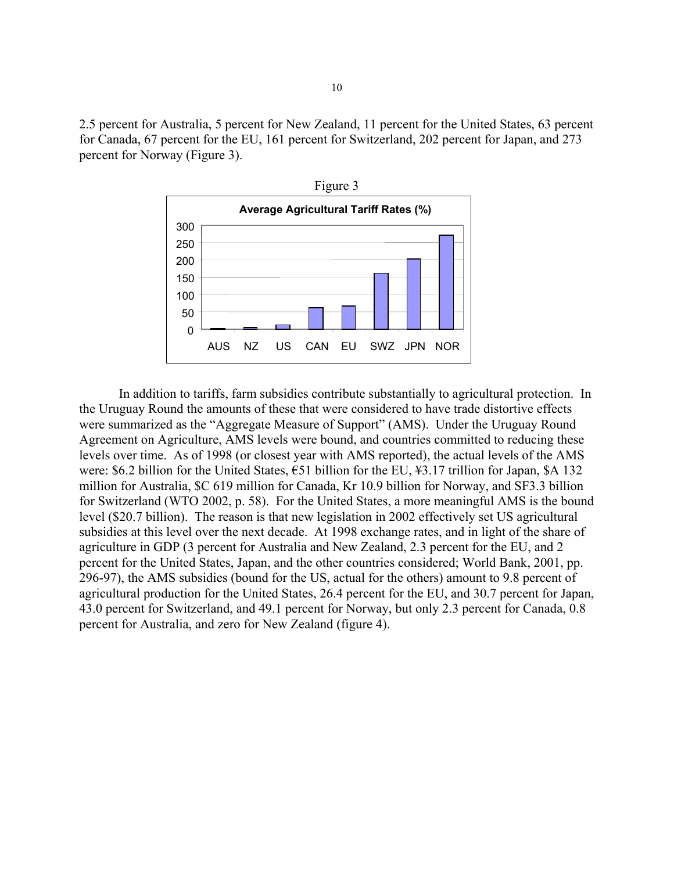2.5 percent for Australia, 5 percent for New Zealand, 11 percent for the United States, 63 percent for Canada, 67 percent for the EU, 161 percent for Switzerland, 202 percent for Japan, and 273 percent for Norway (Figure 3).



In addition to tariffs, farm subsidies contribute substantially to agricultural protection. In the Uruguay Round the amounts of these that were considered to have trade distortive effects were summarized as the "Aggregate Measure of Support" (AMS). Under the Uruguay Round Agreement on Agriculture, AMS levels were bound, and countries committed to reducing these levels over time. As of 1998 (or closest year with AMS reported), the actual levels of the AMS were: \$6.2 billion for the United States, €51 billion for the EU, ¥3.17 trillion for Japan, \$A 132 million for Australia, \$C 619 million for Canada, Kr 10.9 billion for Norway, and SF3.3 billion for Switzerland (WTO 2002, p. 58). For the United States, a more meaningful AMS is the bound level (\$20.7 billion). The reason is that new legislation in 2002 effectively set US agricultural subsidies at this level over the next decade. At 1998 exchange rates, and in light of the share of agriculture in GDP (3 percent for Australia and New Zealand, 2.3 percent for the EU, and 2 percent for the United States, Japan, and the other countries considered; World Bank, 2001, pp. 296-97), the AMS subsidies (bound for the US, actual for the others) amount to 9.8 percent of agricultural production for the United States, 26.4 percent for the EU, and 30.7 percent for Japan, 43.0 percent for Switzerland, and 49.1 percent for Norway, but only 2.3 percent for Canada, 0.8 percent for Australia, and zero for New Zealand (figure 4).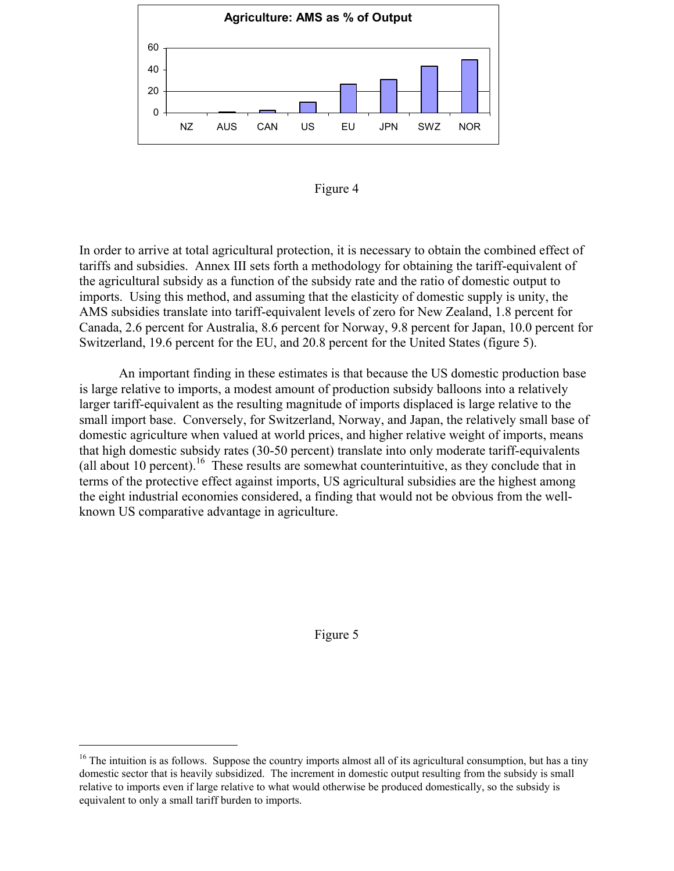



In order to arrive at total agricultural protection, it is necessary to obtain the combined effect of tariffs and subsidies. Annex III sets forth a methodology for obtaining the tariff-equivalent of the agricultural subsidy as a function of the subsidy rate and the ratio of domestic output to imports. Using this method, and assuming that the elasticity of domestic supply is unity, the AMS subsidies translate into tariff-equivalent levels of zero for New Zealand, 1.8 percent for Canada, 2.6 percent for Australia, 8.6 percent for Norway, 9.8 percent for Japan, 10.0 percent for Switzerland, 19.6 percent for the EU, and 20.8 percent for the United States (figure 5).

An important finding in these estimates is that because the US domestic production base is large relative to imports, a modest amount of production subsidy balloons into a relatively larger tariff-equivalent as the resulting magnitude of imports displaced is large relative to the small import base. Conversely, for Switzerland, Norway, and Japan, the relatively small base of domestic agriculture when valued at world prices, and higher relative weight of imports, means that high domestic subsidy rates (30-50 percent) translate into only moderate tariff-equivalents (all about 10 percent).<sup>16</sup> These results are somewhat counterintuitive, as they conclude that in terms of the protective effect against imports, US agricultural subsidies are the highest among the eight industrial economies considered, a finding that would not be obvious from the wellknown US comparative advantage in agriculture.

Figure 5

i<br>I

<span id="page-12-0"></span><sup>&</sup>lt;sup>16</sup> The intuition is as follows. Suppose the country imports almost all of its agricultural consumption, but has a tiny domestic sector that is heavily subsidized. The increment in domestic output resulting from the subsidy is small relative to imports even if large relative to what would otherwise be produced domestically, so the subsidy is equivalent to only a small tariff burden to imports.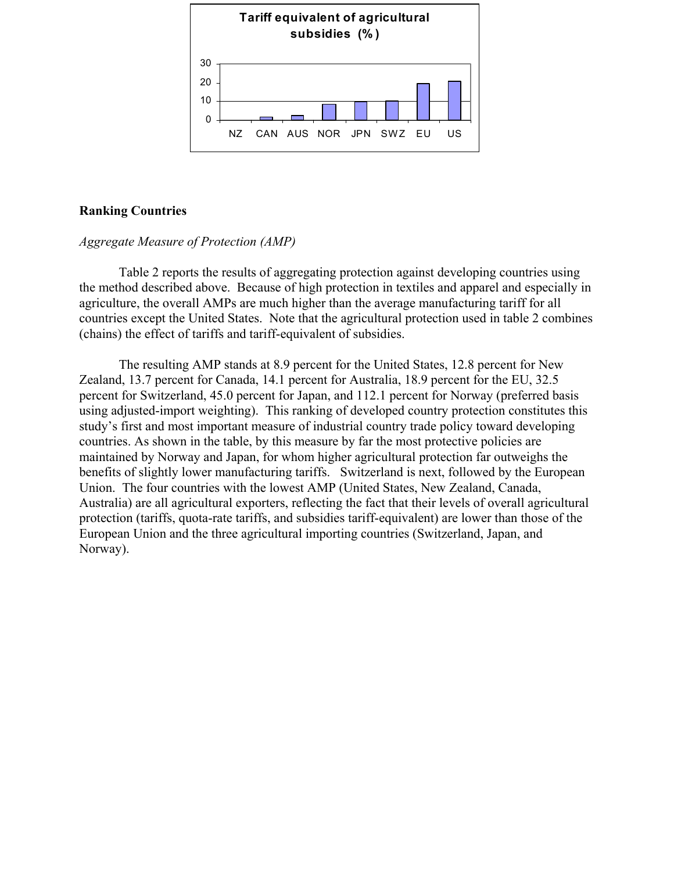

### **Ranking Countries**

### *Aggregate Measure of Protection (AMP)*

Table 2 reports the results of aggregating protection against developing countries using the method described above. Because of high protection in textiles and apparel and especially in agriculture, the overall AMPs are much higher than the average manufacturing tariff for all countries except the United States. Note that the agricultural protection used in table 2 combines (chains) the effect of tariffs and tariff-equivalent of subsidies.

The resulting AMP stands at 8.9 percent for the United States, 12.8 percent for New Zealand, 13.7 percent for Canada, 14.1 percent for Australia, 18.9 percent for the EU, 32.5 percent for Switzerland, 45.0 percent for Japan, and 112.1 percent for Norway (preferred basis using adjusted-import weighting). This ranking of developed country protection constitutes this study's first and most important measure of industrial country trade policy toward developing countries. As shown in the table, by this measure by far the most protective policies are maintained by Norway and Japan, for whom higher agricultural protection far outweighs the benefits of slightly lower manufacturing tariffs. Switzerland is next, followed by the European Union. The four countries with the lowest AMP (United States, New Zealand, Canada, Australia) are all agricultural exporters, reflecting the fact that their levels of overall agricultural protection (tariffs, quota-rate tariffs, and subsidies tariff-equivalent) are lower than those of the European Union and the three agricultural importing countries (Switzerland, Japan, and Norway).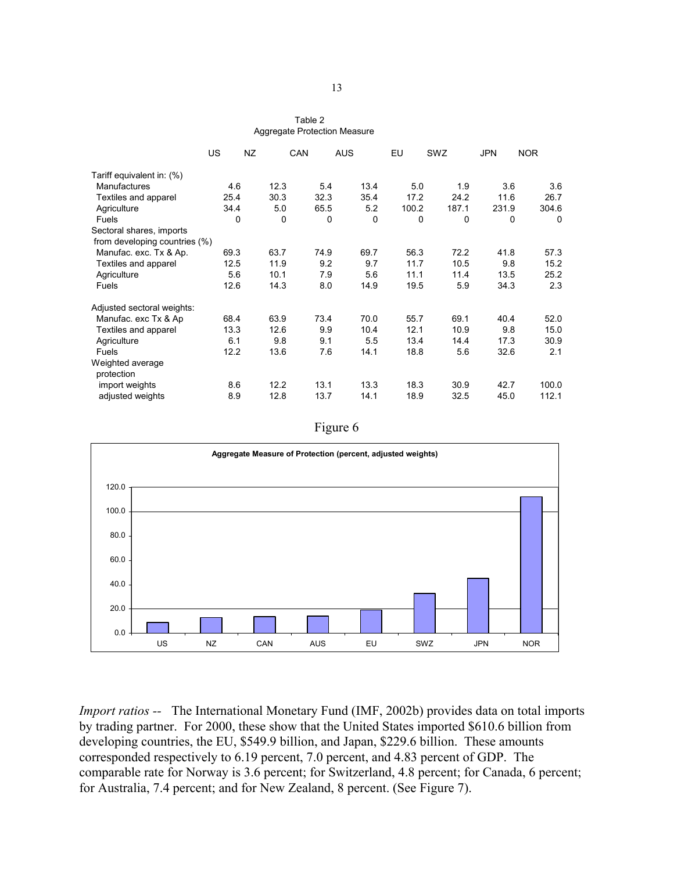| Table 2                      |
|------------------------------|
| Aggregate Protection Measure |

|                               | US   | NZ   | CAN  | <b>AUS</b> | EU    | SWZ   | <b>JPN</b> | <b>NOR</b> |
|-------------------------------|------|------|------|------------|-------|-------|------------|------------|
| Tariff equivalent in: (%)     |      |      |      |            |       |       |            |            |
| <b>Manufactures</b>           | 4.6  | 12.3 | 5.4  | 13.4       | 5.0   | 1.9   | 3.6        | 3.6        |
| Textiles and apparel          | 25.4 | 30.3 | 32.3 | 35.4       | 17.2  | 24.2  | 11.6       | 26.7       |
| Agriculture                   | 34.4 | 5.0  | 65.5 | 5.2        | 100.2 | 187.1 | 231.9      | 304.6      |
| Fuels                         | 0    | 0    |      | 0<br>0     | 0     | 0     | 0          | $\Omega$   |
| Sectoral shares, imports      |      |      |      |            |       |       |            |            |
| from developing countries (%) |      |      |      |            |       |       |            |            |
| Manufac. exc. Tx & Ap.        | 69.3 | 63.7 | 74.9 | 69.7       | 56.3  | 72.2  | 41.8       | 57.3       |
| Textiles and apparel          | 12.5 | 11.9 | 9.2  | 9.7        | 11.7  | 10.5  | 9.8        | 15.2       |
| Agriculture                   | 5.6  | 10.1 | 7.9  | 5.6        | 11.1  | 11.4  | 13.5       | 25.2       |
| Fuels                         | 12.6 | 14.3 | 8.0  | 14.9       | 19.5  | 5.9   | 34.3       | 2.3        |
| Adjusted sectoral weights:    |      |      |      |            |       |       |            |            |
| Manufac. exc Tx & Ap          | 68.4 | 63.9 | 73.4 | 70.0       | 55.7  | 69.1  | 40.4       | 52.0       |
| Textiles and apparel          | 13.3 | 12.6 | 9.9  | 10.4       | 12.1  | 10.9  | 9.8        | 15.0       |
| Agriculture                   | 6.1  | 9.8  | 9.1  | 5.5        | 13.4  | 14.4  | 17.3       | 30.9       |
| <b>Fuels</b>                  | 12.2 | 13.6 | 7.6  | 14.1       | 18.8  | 5.6   | 32.6       | 2.1        |
| Weighted average              |      |      |      |            |       |       |            |            |
| protection                    |      |      |      |            |       |       |            |            |
| import weights                | 8.6  | 12.2 | 13.1 | 13.3       | 18.3  | 30.9  | 42.7       | 100.0      |
| adjusted weights              | 8.9  | 12.8 | 13.7 | 14.1       | 18.9  | 32.5  | 45.0       | 112.1      |

Figure 6



*Import ratios --* The International Monetary Fund (IMF, 2002b) provides data on total imports by trading partner. For 2000, these show that the United States imported \$610.6 billion from developing countries, the EU, \$549.9 billion, and Japan, \$229.6 billion. These amounts corresponded respectively to 6.19 percent, 7.0 percent, and 4.83 percent of GDP. The comparable rate for Norway is 3.6 percent; for Switzerland, 4.8 percent; for Canada, 6 percent; for Australia, 7.4 percent; and for New Zealand, 8 percent. (See Figure 7).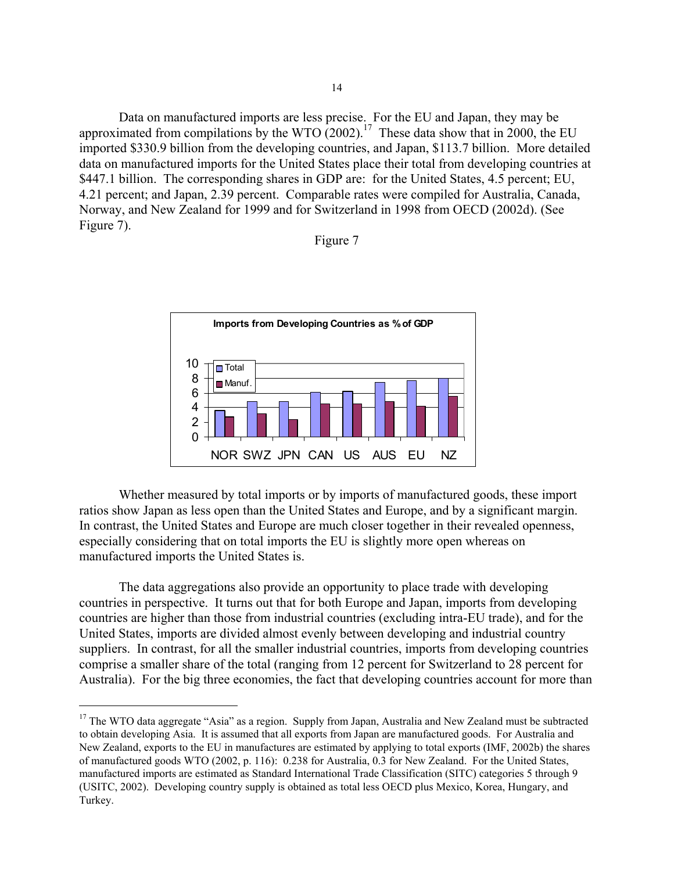Data on manufactured imports are less precise. For the EU and Japan, they may be approximated from compilations by the WTO  $(2002)$ .<sup>17</sup> These data show that in 2000, the EU imported \$330.9 billion from the developing countries, and Japan, \$113.7 billion. More detailed data on manufactured imports for the United States place their total from developing countries at \$447.1 billion. The corresponding shares in GDP are: for the United States, 4.5 percent; EU, 4.21 percent; and Japan, 2.39 percent. Comparable rates were compiled for Australia, Canada, Norway, and New Zealand for 1999 and for Switzerland in 1998 from OECD (2002d). (See Figure 7).

#### Figure 7



Whether measured by total imports or by imports of manufactured goods, these import ratios show Japan as less open than the United States and Europe, and by a significant margin. In contrast, the United States and Europe are much closer together in their revealed openness, especially considering that on total imports the EU is slightly more open whereas on manufactured imports the United States is.

The data aggregations also provide an opportunity to place trade with developing countries in perspective. It turns out that for both Europe and Japan, imports from developing countries are higher than those from industrial countries (excluding intra-EU trade), and for the United States, imports are divided almost evenly between developing and industrial country suppliers. In contrast, for all the smaller industrial countries, imports from developing countries comprise a smaller share of the total (ranging from 12 percent for Switzerland to 28 percent for Australia). For the big three economies, the fact that developing countries account for more than

i<br>I

<span id="page-15-0"></span><sup>&</sup>lt;sup>17</sup> The WTO data aggregate "Asia" as a region. Supply from Japan, Australia and New Zealand must be subtracted to obtain developing Asia. It is assumed that all exports from Japan are manufactured goods. For Australia and New Zealand, exports to the EU in manufactures are estimated by applying to total exports (IMF, 2002b) the shares of manufactured goods WTO (2002, p. 116): 0.238 for Australia, 0.3 for New Zealand. For the United States, manufactured imports are estimated as Standard International Trade Classification (SITC) categories 5 through 9 (USITC, 2002). Developing country supply is obtained as total less OECD plus Mexico, Korea, Hungary, and Turkey.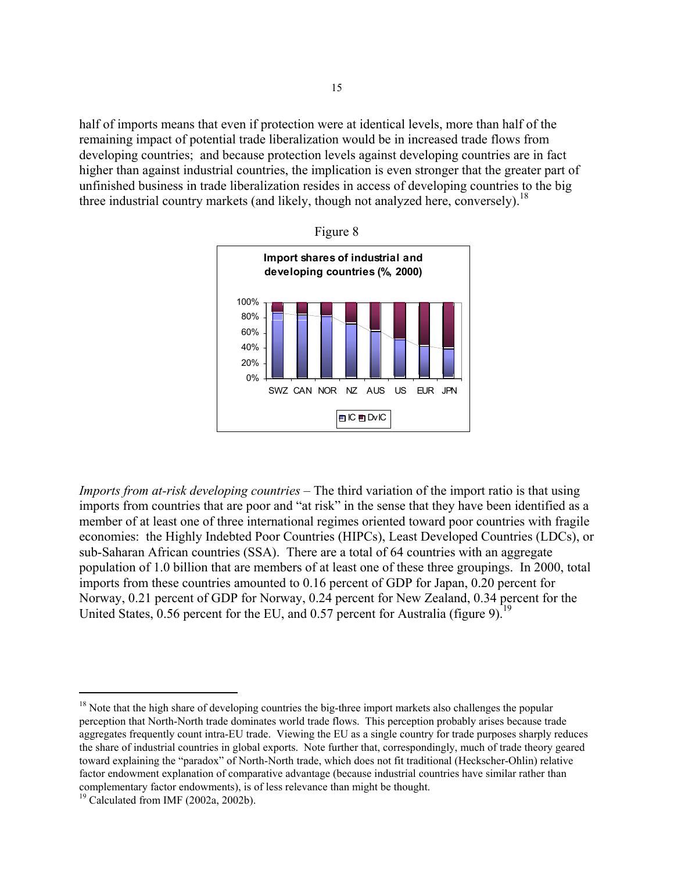half of imports means that even if protection were at identical levels, more than half of the remaining impact of potential trade liberalization would be in increased trade flows from developing countries; and because protection levels against developing countries are in fact higher than against industrial countries, the implication is even stronger that the greater part of unfinished business in trade liberalization resides in access of developing countries to the big three industrial country markets (and likely, though not analyzed here, conversely).<sup>[18](#page-16-0)</sup>





*Imports from at-risk developing countries –* The third variation of the import ratio is that using imports from countries that are poor and "at risk" in the sense that they have been identified as a member of at least one of three international regimes oriented toward poor countries with fragile economies: the Highly Indebted Poor Countries (HIPCs), Least Developed Countries (LDCs), or sub-Saharan African countries (SSA). There are a total of 64 countries with an aggregate population of 1.0 billion that are members of at least one of these three groupings. In 2000, total imports from these countries amounted to 0.16 percent of GDP for Japan, 0.20 percent for Norway, 0.21 percent of GDP for Norway, 0.24 percent for New Zealand, 0.34 percent for the United States,  $0.56$  percent for the EU, and  $0.57$  percent for Australia (figure 9).<sup>19</sup>

 $\overline{\phantom{0}}$ 

<span id="page-16-0"></span> $18$  Note that the high share of developing countries the big-three import markets also challenges the popular perception that North-North trade dominates world trade flows. This perception probably arises because trade aggregates frequently count intra-EU trade. Viewing the EU as a single country for trade purposes sharply reduces the share of industrial countries in global exports. Note further that, correspondingly, much of trade theory geared toward explaining the "paradox" of North-North trade, which does not fit traditional (Heckscher-Ohlin) relative factor endowment explanation of comparative advantage (because industrial countries have similar rather than complementary factor endowments), is of less relevance than might be thought. 19 Calculated from IMF (2002a, 2002b).

<span id="page-16-1"></span>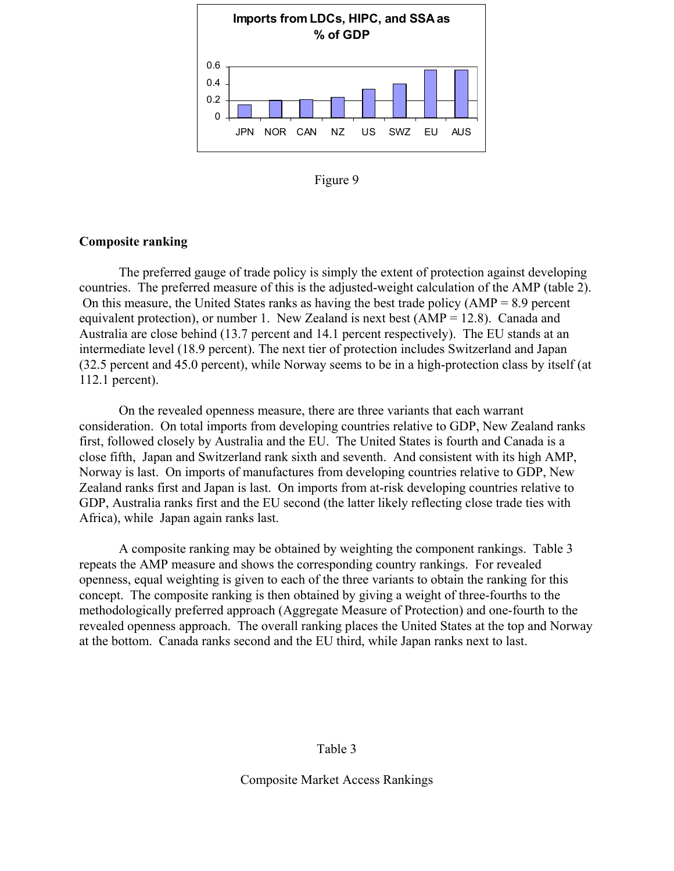

Figure 9

### **Composite ranking**

The preferred gauge of trade policy is simply the extent of protection against developing countries. The preferred measure of this is the adjusted-weight calculation of the AMP (table 2). On this measure, the United States ranks as having the best trade policy (AMP = 8.9 percent equivalent protection), or number 1. New Zealand is next best  $(AMP = 12.8)$ . Canada and Australia are close behind (13.7 percent and 14.1 percent respectively). The EU stands at an intermediate level (18.9 percent). The next tier of protection includes Switzerland and Japan (32.5 percent and 45.0 percent), while Norway seems to be in a high-protection class by itself (at 112.1 percent).

On the revealed openness measure, there are three variants that each warrant consideration. On total imports from developing countries relative to GDP, New Zealand ranks first, followed closely by Australia and the EU. The United States is fourth and Canada is a close fifth, Japan and Switzerland rank sixth and seventh. And consistent with its high AMP, Norway is last. On imports of manufactures from developing countries relative to GDP, New Zealand ranks first and Japan is last. On imports from at-risk developing countries relative to GDP, Australia ranks first and the EU second (the latter likely reflecting close trade ties with Africa), while Japan again ranks last.

A composite ranking may be obtained by weighting the component rankings. Table 3 repeats the AMP measure and shows the corresponding country rankings. For revealed openness, equal weighting is given to each of the three variants to obtain the ranking for this concept. The composite ranking is then obtained by giving a weight of three-fourths to the methodologically preferred approach (Aggregate Measure of Protection) and one-fourth to the revealed openness approach. The overall ranking places the United States at the top and Norway at the bottom. Canada ranks second and the EU third, while Japan ranks next to last.

### Table 3

Composite Market Access Rankings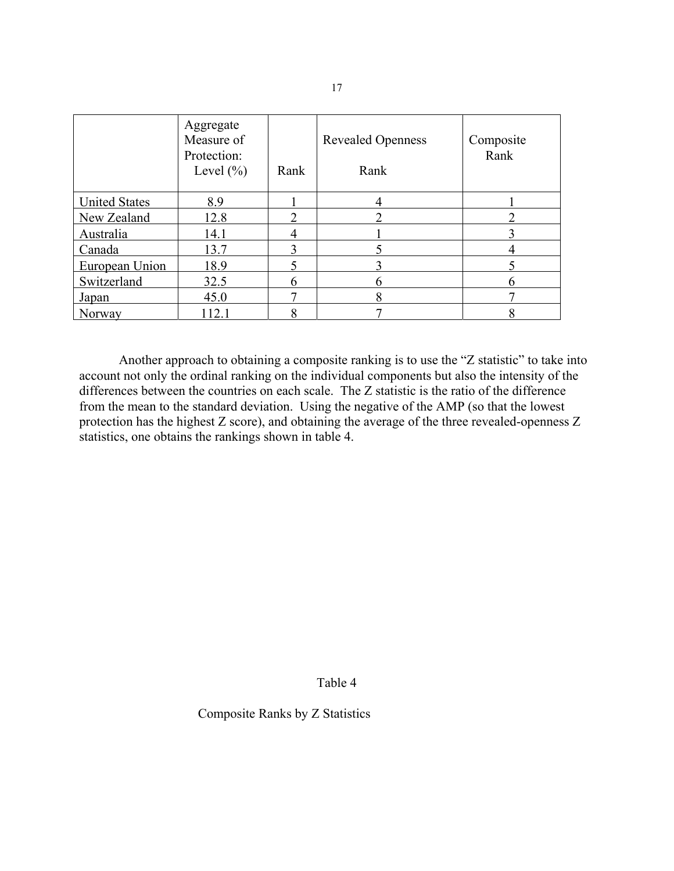|                      | Aggregate<br>Measure of<br>Protection:<br>Level $(\% )$ | Rank | <b>Revealed Openness</b><br>Rank | Composite<br>Rank |
|----------------------|---------------------------------------------------------|------|----------------------------------|-------------------|
| <b>United States</b> | 8.9                                                     |      |                                  |                   |
| New Zealand          | 12.8                                                    |      |                                  |                   |
| Australia            | 14.1                                                    |      |                                  |                   |
| Canada               | 13.7                                                    |      |                                  |                   |
| European Union       | 18.9                                                    |      |                                  |                   |
| Switzerland          | 32.5                                                    |      |                                  |                   |
| <b>Japan</b>         | 45.0                                                    |      | 8                                |                   |
| Norway               | 2.1                                                     |      |                                  |                   |

 Another approach to obtaining a composite ranking is to use the "Z statistic" to take into account not only the ordinal ranking on the individual components but also the intensity of the differences between the countries on each scale. The Z statistic is the ratio of the difference from the mean to the standard deviation. Using the negative of the AMP (so that the lowest protection has the highest Z score), and obtaining the average of the three revealed-openness Z statistics, one obtains the rankings shown in table 4.

Table 4

Composite Ranks by Z Statistics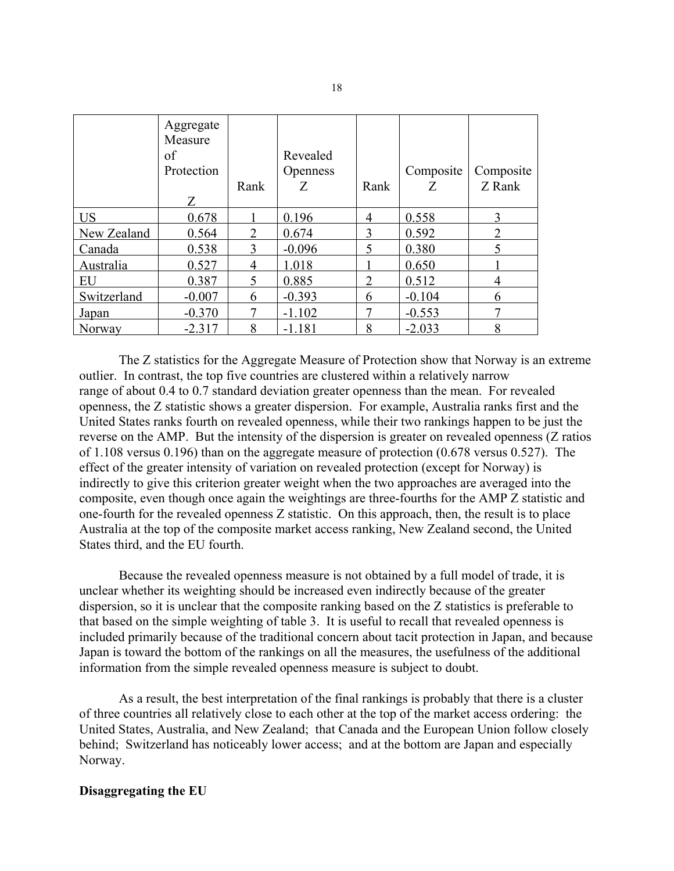|             | Aggregate<br>Measure<br>of<br>Protection<br>Z | Rank | Revealed<br><b>Openness</b><br>Z | Rank           | Composite<br>Z | Composite<br>Z Rank |
|-------------|-----------------------------------------------|------|----------------------------------|----------------|----------------|---------------------|
| <b>US</b>   | 0.678                                         |      | 0.196                            | 4              | 0.558          | 3                   |
| New Zealand | 0.564                                         | 2    | 0.674                            | 3              | 0.592          | $\overline{2}$      |
| Canada      | 0.538                                         |      | $-0.096$                         | 5              | 0.380          |                     |
| Australia   | 0.527                                         |      | 1.018                            |                | 0.650          |                     |
| EU          | 0.387                                         | 5    | 0.885                            | $\overline{2}$ | 0.512          | 4                   |
| Switzerland | $-0.007$                                      | 6    | $-0.393$                         | 6              | $-0.104$       | 6                   |
| Japan       | $-0.370$                                      |      | $-1.102$                         |                | $-0.553$       | 7                   |
| Norway      | $-2.317$                                      | 8    | $-1.181$                         | 8              | $-2.033$       | 8                   |

 The Z statistics for the Aggregate Measure of Protection show that Norway is an extreme outlier. In contrast, the top five countries are clustered within a relatively narrow range of about 0.4 to 0.7 standard deviation greater openness than the mean. For revealed openness, the Z statistic shows a greater dispersion. For example, Australia ranks first and the United States ranks fourth on revealed openness, while their two rankings happen to be just the reverse on the AMP. But the intensity of the dispersion is greater on revealed openness (Z ratios of 1.108 versus 0.196) than on the aggregate measure of protection (0.678 versus 0.527). The effect of the greater intensity of variation on revealed protection (except for Norway) is indirectly to give this criterion greater weight when the two approaches are averaged into the composite, even though once again the weightings are three-fourths for the AMP Z statistic and one-fourth for the revealed openness Z statistic. On this approach, then, the result is to place Australia at the top of the composite market access ranking, New Zealand second, the United States third, and the EU fourth.

 Because the revealed openness measure is not obtained by a full model of trade, it is unclear whether its weighting should be increased even indirectly because of the greater dispersion, so it is unclear that the composite ranking based on the Z statistics is preferable to that based on the simple weighting of table 3. It is useful to recall that revealed openness is included primarily because of the traditional concern about tacit protection in Japan, and because Japan is toward the bottom of the rankings on all the measures, the usefulness of the additional information from the simple revealed openness measure is subject to doubt.

 As a result, the best interpretation of the final rankings is probably that there is a cluster of three countries all relatively close to each other at the top of the market access ordering: the United States, Australia, and New Zealand; that Canada and the European Union follow closely behind; Switzerland has noticeably lower access; and at the bottom are Japan and especially Norway.

#### **Disaggregating the EU**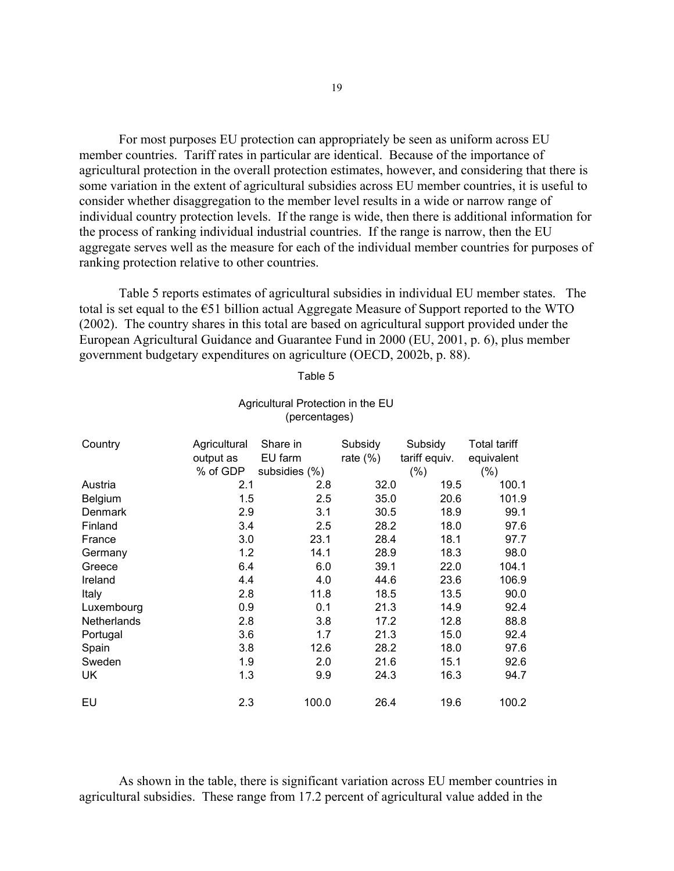For most purposes EU protection can appropriately be seen as uniform across EU member countries. Tariff rates in particular are identical. Because of the importance of agricultural protection in the overall protection estimates, however, and considering that there is some variation in the extent of agricultural subsidies across EU member countries, it is useful to consider whether disaggregation to the member level results in a wide or narrow range of individual country protection levels. If the range is wide, then there is additional information for the process of ranking individual industrial countries. If the range is narrow, then the EU aggregate serves well as the measure for each of the individual member countries for purposes of ranking protection relative to other countries.

Table 5 reports estimates of agricultural subsidies in individual EU member states. The total is set equal to the €51 billion actual Aggregate Measure of Support reported to the WTO (2002). The country shares in this total are based on agricultural support provided under the European Agricultural Guidance and Guarantee Fund in 2000 (EU, 2001, p. 6), plus member government budgetary expenditures on agriculture (OECD, 2002b, p. 88).

| Table 5 |
|---------|
|---------|

| Country     | Agricultural<br>output as<br>% of GDP | Share in<br>EU farm<br>subsidies (%) | Subsidy<br>rate $(\%)$ | Subsidy<br>tariff equiv.<br>(% ) | Total tariff<br>equivalent<br>(% ) |
|-------------|---------------------------------------|--------------------------------------|------------------------|----------------------------------|------------------------------------|
| Austria     | 2.1                                   | 2.8                                  | 32.0                   | 19.5                             | 100.1                              |
| Belgium     | 1.5                                   | 2.5                                  | 35.0                   | 20.6                             | 101.9                              |
| Denmark     | 2.9                                   | 3.1                                  | 30.5                   | 18.9                             | 99.1                               |
| Finland     | 3.4                                   | 2.5                                  | 28.2                   | 18.0                             | 97.6                               |
| France      | 3.0                                   | 23.1                                 | 28.4                   | 18.1                             | 97.7                               |
| Germany     | 1.2                                   | 14.1                                 | 28.9                   | 18.3                             | 98.0                               |
| Greece      | 6.4                                   | 6.0                                  | 39.1                   | 22.0                             | 104.1                              |
| Ireland     | 4.4                                   | 4.0                                  | 44.6                   | 23.6                             | 106.9                              |
| Italy       | 2.8                                   | 11.8                                 | 18.5                   | 13.5                             | 90.0                               |
| Luxembourg  | 0.9                                   | 0.1                                  | 21.3                   | 14.9                             | 92.4                               |
| Netherlands | 2.8                                   | 3.8                                  | 17.2                   | 12.8                             | 88.8                               |
| Portugal    | 3.6                                   | 1.7                                  | 21.3                   | 15.0                             | 92.4                               |
| Spain       | 3.8                                   | 12.6                                 | 28.2                   | 18.0                             | 97.6                               |
| Sweden      | 1.9                                   | 2.0                                  | 21.6                   | 15.1                             | 92.6                               |
| UK          | 1.3                                   | 9.9                                  | 24.3                   | 16.3                             | 94.7                               |
| EU          | 2.3                                   | 100.0                                | 26.4                   | 19.6                             | 100.2                              |

#### Agricultural Protection in the EU (percentages)

As shown in the table, there is significant variation across EU member countries in agricultural subsidies. These range from 17.2 percent of agricultural value added in the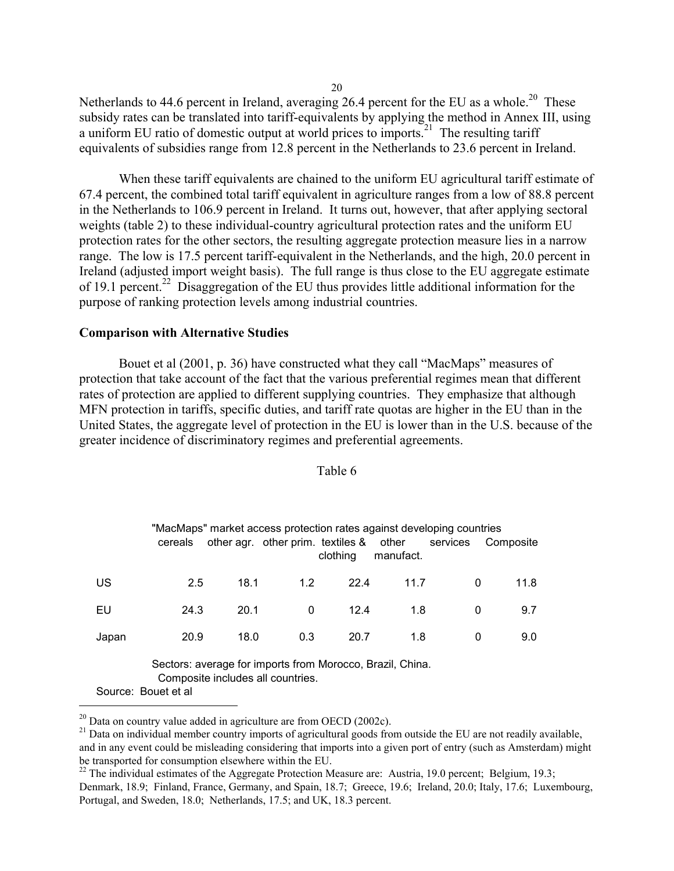Netherlands to 44.6 percent in Ireland, averaging 26.4 percent for the EU as a whole.<sup>20</sup> These subsidy rates can be translated into tariff-equivalents by applying the method in Annex III, using a uniform EU ratio of domestic output at world prices to imports.<sup>21</sup> The resulting tariff equivalents of subsidies range from 12.8 percent in the Netherlands to 23.6 percent in Ireland.

When these tariff equivalents are chained to the uniform EU agricultural tariff estimate of 67.4 percent, the combined total tariff equivalent in agriculture ranges from a low of 88.8 percent in the Netherlands to 106.9 percent in Ireland. It turns out, however, that after applying sectoral weights (table 2) to these individual-country agricultural protection rates and the uniform EU protection rates for the other sectors, the resulting aggregate protection measure lies in a narrow range. The low is 17.5 percent tariff-equivalent in the Netherlands, and the high, 20.0 percent in Ireland (adjusted import weight basis). The full range is thus close to the EU aggregate estimate of 19.1 percent.<sup>22</sup> Disaggregation of the EU thus provides little additional information for the purpose of ranking protection levels among industrial countries.

### **Comparison with Alternative Studies**

Bouet et al (2001, p. 36) have constructed what they call "MacMaps" measures of protection that take account of the fact that the various preferential regimes mean that different rates of protection are applied to different supplying countries. They emphasize that although MFN protection in tariffs, specific duties, and tariff rate quotas are higher in the EU than in the United States, the aggregate level of protection in the EU is lower than in the U.S. because of the greater incidence of discriminatory regimes and preferential agreements.

| "MacMaps" market access protection rates against developing countries<br>other agr. other prim. textiles & other<br>services<br>Composite<br>cereals<br>manufact.<br>clothing |      |      |     |      |      |   |      |  |  |
|-------------------------------------------------------------------------------------------------------------------------------------------------------------------------------|------|------|-----|------|------|---|------|--|--|
| US                                                                                                                                                                            | 2.5  | 18.1 | 1.2 | 22.4 | 11.7 | 0 | 11.8 |  |  |
| EU                                                                                                                                                                            | 24.3 | 20.1 | 0   | 12.4 | 1.8  | 0 | 9.7  |  |  |
| Japan                                                                                                                                                                         | 20.9 | 18.0 | 0.3 | 20.7 | 1.8  | 0 | 9.0  |  |  |
| Sectors: average for imports from Morocco, Brazil, China.<br>Composite includes all countries.                                                                                |      |      |     |      |      |   |      |  |  |

#### Table 6

Source: Bouet et al

i<br>I

20

<span id="page-21-1"></span><span id="page-21-0"></span>

<sup>&</sup>lt;sup>20</sup> Data on country value added in agriculture are from OECD (2002c).<br><sup>21</sup> Data on individual member country imports of agricultural goods from outside the EU are not readily available, and in any event could be misleading considering that imports into a given port of entry (such as Amsterdam) might be transported for consumption elsewhere within the EU.<br><sup>22</sup> The individual estimates of the Aggregate Protection Measure are: Austria, 19.0 percent; Belgium, 19.3;

<span id="page-21-2"></span>Denmark, 18.9; Finland, France, Germany, and Spain, 18.7; Greece, 19.6; Ireland, 20.0; Italy, 17.6; Luxembourg, Portugal, and Sweden, 18.0; Netherlands, 17.5; and UK, 18.3 percent.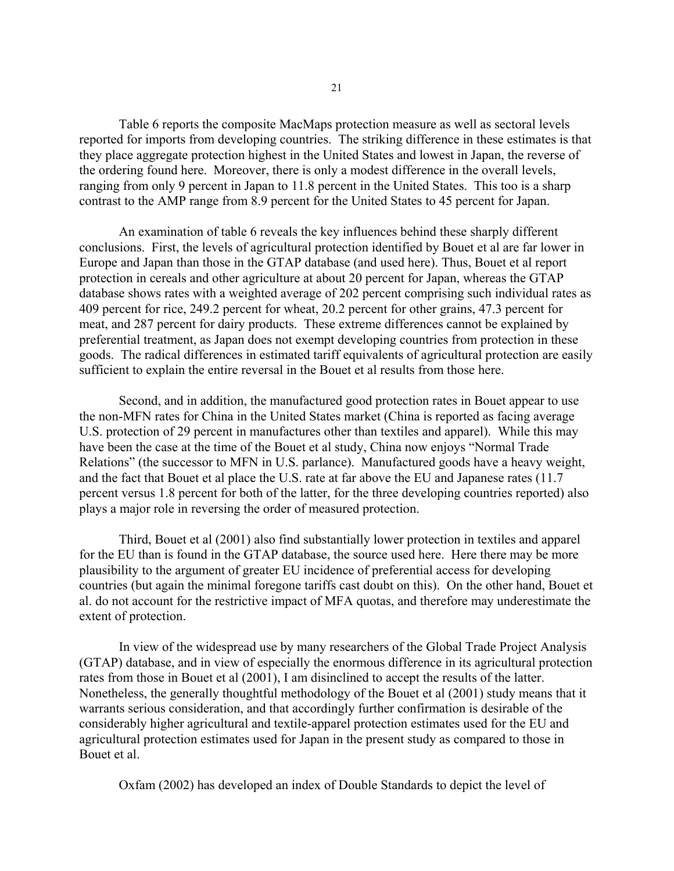Table 6 reports the composite MacMaps protection measure as well as sectoral levels reported for imports from developing countries. The striking difference in these estimates is that they place aggregate protection highest in the United States and lowest in Japan, the reverse of the ordering found here. Moreover, there is only a modest difference in the overall levels, ranging from only 9 percent in Japan to 11.8 percent in the United States. This too is a sharp contrast to the AMP range from 8.9 percent for the United States to 45 percent for Japan.

 An examination of table 6 reveals the key influences behind these sharply different conclusions. First, the levels of agricultural protection identified by Bouet et al are far lower in Europe and Japan than those in the GTAP database (and used here). Thus, Bouet et al report protection in cereals and other agriculture at about 20 percent for Japan, whereas the GTAP database shows rates with a weighted average of 202 percent comprising such individual rates as 409 percent for rice, 249.2 percent for wheat, 20.2 percent for other grains, 47.3 percent for meat, and 287 percent for dairy products. These extreme differences cannot be explained by preferential treatment, as Japan does not exempt developing countries from protection in these goods. The radical differences in estimated tariff equivalents of agricultural protection are easily sufficient to explain the entire reversal in the Bouet et al results from those here.

 Second, and in addition, the manufactured good protection rates in Bouet appear to use the non-MFN rates for China in the United States market (China is reported as facing average U.S. protection of 29 percent in manufactures other than textiles and apparel). While this may have been the case at the time of the Bouet et al study, China now enjoys "Normal Trade Relations" (the successor to MFN in U.S. parlance). Manufactured goods have a heavy weight, and the fact that Bouet et al place the U.S. rate at far above the EU and Japanese rates (11.7 percent versus 1.8 percent for both of the latter, for the three developing countries reported) also plays a major role in reversing the order of measured protection.

 Third, Bouet et al (2001) also find substantially lower protection in textiles and apparel for the EU than is found in the GTAP database, the source used here. Here there may be more plausibility to the argument of greater EU incidence of preferential access for developing countries (but again the minimal foregone tariffs cast doubt on this). On the other hand, Bouet et al. do not account for the restrictive impact of MFA quotas, and therefore may underestimate the extent of protection.

 In view of the widespread use by many researchers of the Global Trade Project Analysis (GTAP) database, and in view of especially the enormous difference in its agricultural protection rates from those in Bouet et al (2001), I am disinclined to accept the results of the latter. Nonetheless, the generally thoughtful methodology of the Bouet et al (2001) study means that it warrants serious consideration, and that accordingly further confirmation is desirable of the considerably higher agricultural and textile-apparel protection estimates used for the EU and agricultural protection estimates used for Japan in the present study as compared to those in Bouet et al.

Oxfam (2002) has developed an index of Double Standards to depict the level of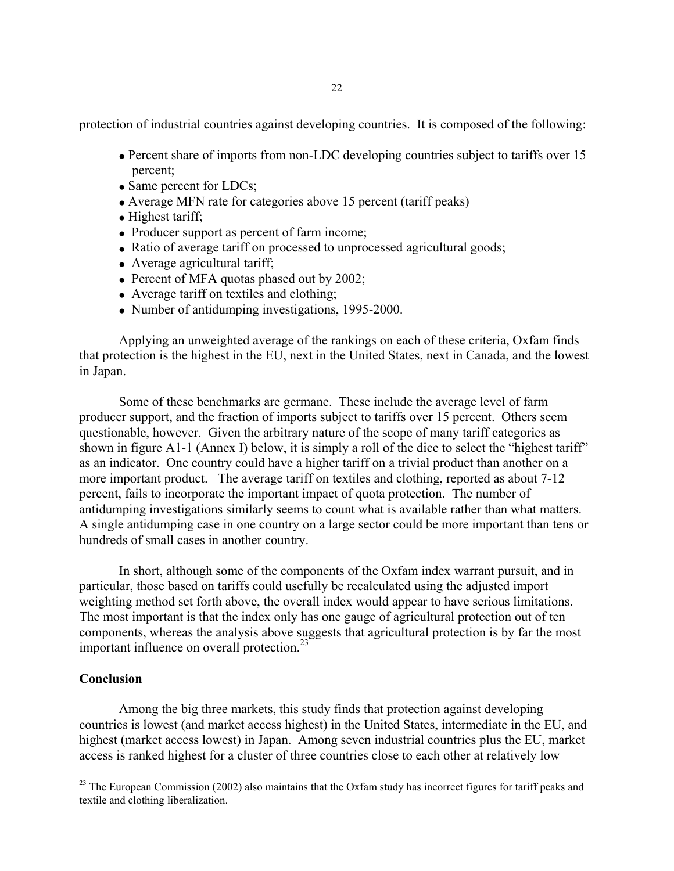protection of industrial countries against developing countries. It is composed of the following:

- Percent share of imports from non-LDC developing countries subject to tariffs over 15 percent;
- Same percent for LDCs;
- Average MFN rate for categories above 15 percent (tariff peaks)
- Highest tariff;
- Producer support as percent of farm income;
- Ratio of average tariff on processed to unprocessed agricultural goods;
- Average agricultural tariff;
- Percent of MFA quotas phased out by 2002;
- Average tariff on textiles and clothing;
- Number of antidumping investigations, 1995-2000.

 Applying an unweighted average of the rankings on each of these criteria, Oxfam finds that protection is the highest in the EU, next in the United States, next in Canada, and the lowest in Japan.

 Some of these benchmarks are germane. These include the average level of farm producer support, and the fraction of imports subject to tariffs over 15 percent. Others seem questionable, however. Given the arbitrary nature of the scope of many tariff categories as shown in figure A1-1 (Annex I) below, it is simply a roll of the dice to select the "highest tariff" as an indicator. One country could have a higher tariff on a trivial product than another on a more important product. The average tariff on textiles and clothing, reported as about 7-12 percent, fails to incorporate the important impact of quota protection. The number of antidumping investigations similarly seems to count what is available rather than what matters. A single antidumping case in one country on a large sector could be more important than tens or hundreds of small cases in another country.

 In short, although some of the components of the Oxfam index warrant pursuit, and in particular, those based on tariffs could usefully be recalculated using the adjusted import weighting method set forth above, the overall index would appear to have serious limitations. The most important is that the index only has one gauge of agricultural protection out of ten components, whereas the analysis above suggests that agricultural protection is by far the most important influence on overall protection.<sup>23</sup>

### **Conclusion**

i<br>I

Among the big three markets, this study finds that protection against developing countries is lowest (and market access highest) in the United States, intermediate in the EU, and highest (market access lowest) in Japan. Among seven industrial countries plus the EU, market access is ranked highest for a cluster of three countries close to each other at relatively low

<span id="page-23-0"></span> $^{23}$  The European Commission (2002) also maintains that the Oxfam study has incorrect figures for tariff peaks and textile and clothing liberalization.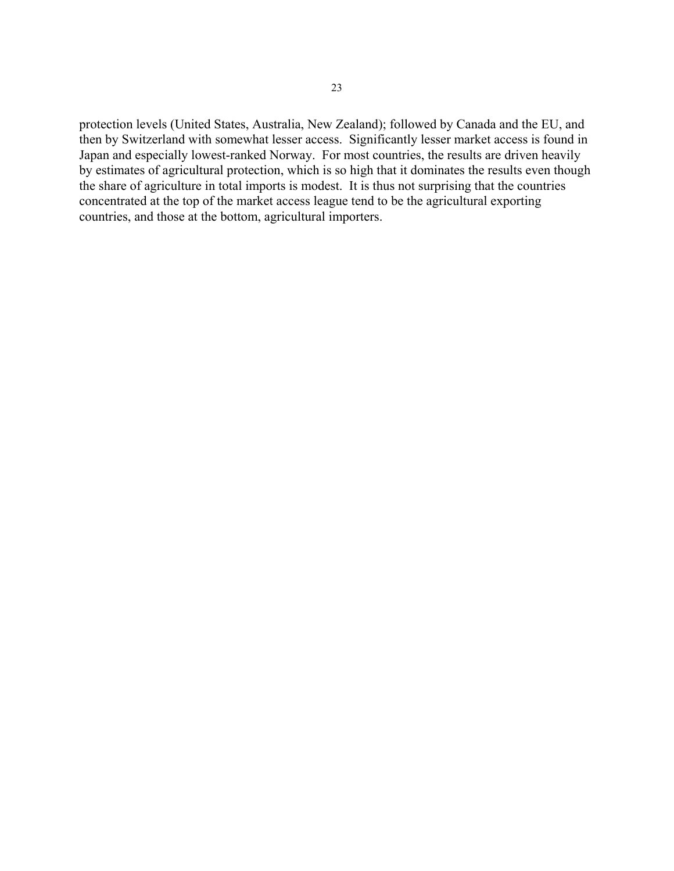protection levels (United States, Australia, New Zealand); followed by Canada and the EU, and then by Switzerland with somewhat lesser access. Significantly lesser market access is found in Japan and especially lowest-ranked Norway. For most countries, the results are driven heavily by estimates of agricultural protection, which is so high that it dominates the results even though the share of agriculture in total imports is modest. It is thus not surprising that the countries concentrated at the top of the market access league tend to be the agricultural exporting countries, and those at the bottom, agricultural importers.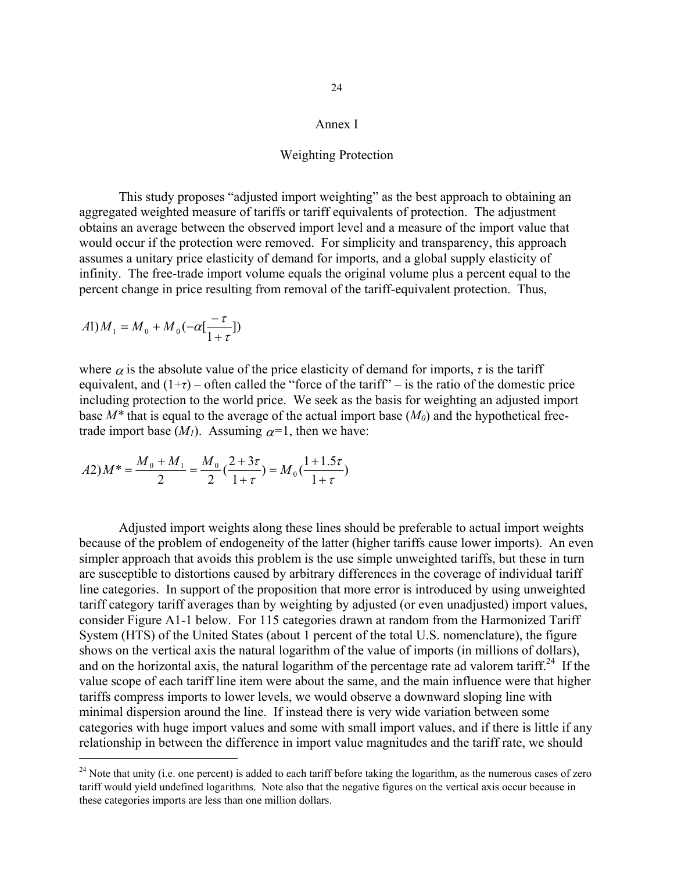### Annex I

#### Weighting Protection

This study proposes "adjusted import weighting" as the best approach to obtaining an aggregated weighted measure of tariffs or tariff equivalents of protection. The adjustment obtains an average between the observed import level and a measure of the import value that would occur if the protection were removed. For simplicity and transparency, this approach assumes a unitary price elasticity of demand for imports, and a global supply elasticity of infinity. The free-trade import volume equals the original volume plus a percent equal to the percent change in price resulting from removal of the tariff-equivalent protection. Thus,

$$
A1)M_1 = M_0 + M_0(-\alpha[\frac{-\tau}{1+\tau}])
$$

i<br>I

where  $\alpha$  is the absolute value of the price elasticity of demand for imports,  $\tau$  is the tariff equivalent, and  $(1+\tau)$  – often called the "force of the tariff" – is the ratio of the domestic price including protection to the world price. We seek as the basis for weighting an adjusted import base  $M^*$  that is equal to the average of the actual import base  $(M_0)$  and the hypothetical freetrade import base  $(M<sub>1</sub>)$ . Assuming  $\alpha$ <sup>=1</sup>, then we have:

$$
A2)M^* = \frac{M_0 + M_1}{2} = \frac{M_0}{2} \left(\frac{2 + 3\tau}{1 + \tau}\right) = M_0 \left(\frac{1 + 1.5\tau}{1 + \tau}\right)
$$

Adjusted import weights along these lines should be preferable to actual import weights because of the problem of endogeneity of the latter (higher tariffs cause lower imports). An even simpler approach that avoids this problem is the use simple unweighted tariffs, but these in turn are susceptible to distortions caused by arbitrary differences in the coverage of individual tariff line categories. In support of the proposition that more error is introduced by using unweighted tariff category tariff averages than by weighting by adjusted (or even unadjusted) import values, consider Figure A1-1 below. For 115 categories drawn at random from the Harmonized Tariff System (HTS) of the United States (about 1 percent of the total U.S. nomenclature), the figure shows on the vertical axis the natural logarithm of the value of imports (in millions of dollars), and on the horizontal axis, the natural logarithm of the percentage rate ad valorem tariff.<sup>24</sup> If the value scope of each tariff line item were about the same, and the main influence were that higher tariffs compress imports to lower levels, we would observe a downward sloping line with minimal dispersion around the line. If instead there is very wide variation between some categories with huge import values and some with small import values, and if there is little if any relationship in between the difference in import value magnitudes and the tariff rate, we should

<span id="page-25-0"></span> $^{24}$  Note that unity (i.e. one percent) is added to each tariff before taking the logarithm, as the numerous cases of zero tariff would yield undefined logarithms. Note also that the negative figures on the vertical axis occur because in these categories imports are less than one million dollars.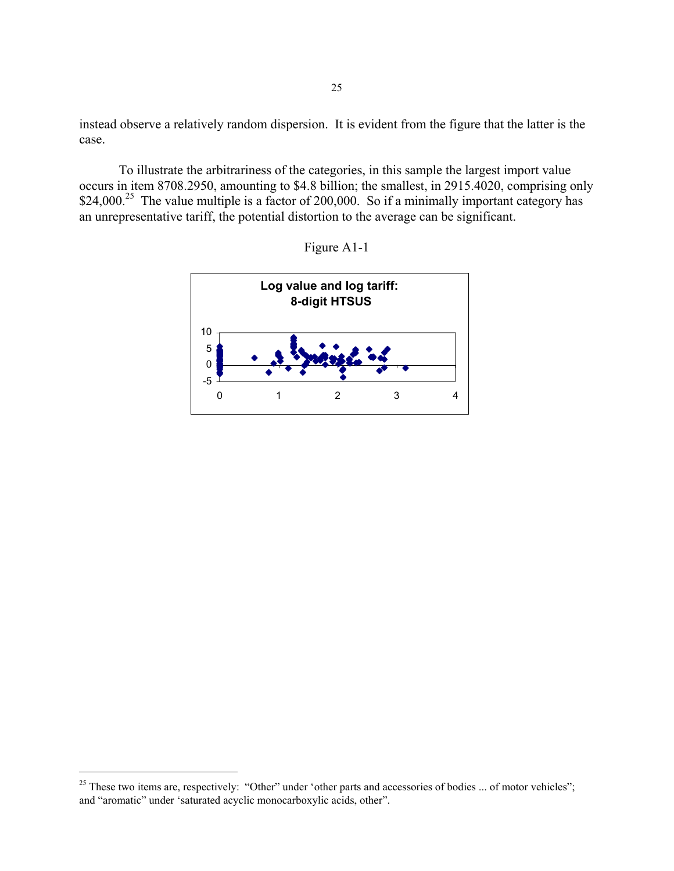instead observe a relatively random dispersion. It is evident from the figure that the latter is the case.

To illustrate the arbitrariness of the categories, in this sample the largest import value occurs in item 8708.2950, amounting to \$4.8 billion; the smallest, in 2915.4020, comprising only \$24,000.<sup>25</sup> The value multiple is a factor of 200,000. So if a minimally important category has an unrepresentative tariff, the potential distortion to the average can be significant.





i<br>I

<span id="page-26-0"></span><sup>&</sup>lt;sup>25</sup> These two items are, respectively: "Other" under 'other parts and accessories of bodies ... of motor vehicles"; and "aromatic" under 'saturated acyclic monocarboxylic acids, other".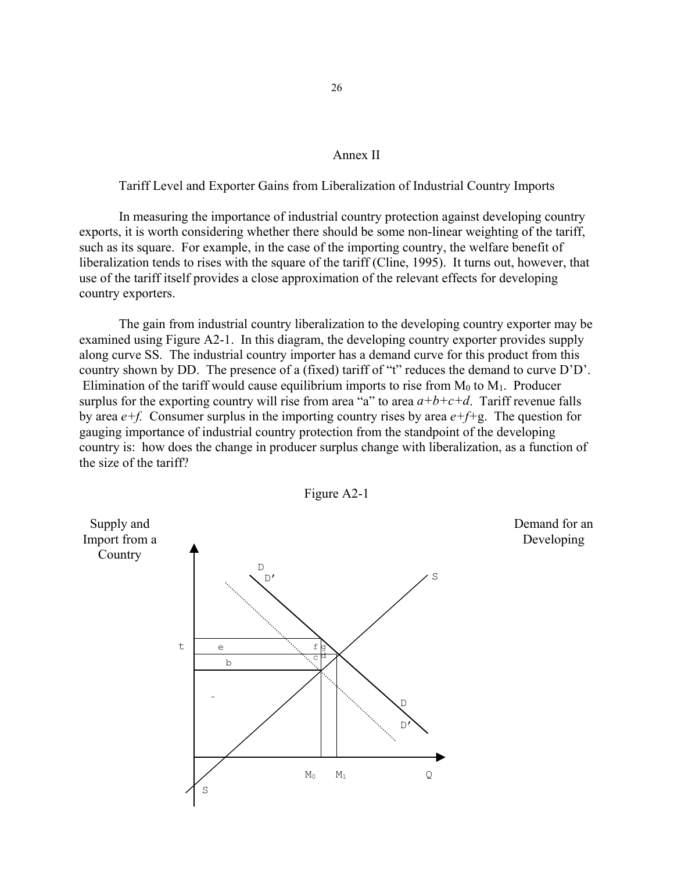#### Annex II

Tariff Level and Exporter Gains from Liberalization of Industrial Country Imports

In measuring the importance of industrial country protection against developing country exports, it is worth considering whether there should be some non-linear weighting of the tariff, such as its square. For example, in the case of the importing country, the welfare benefit of liberalization tends to rises with the square of the tariff (Cline, 1995). It turns out, however, that use of the tariff itself provides a close approximation of the relevant effects for developing country exporters.

The gain from industrial country liberalization to the developing country exporter may be examined using Figure A2-1. In this diagram, the developing country exporter provides supply along curve SS. The industrial country importer has a demand curve for this product from this country shown by DD. The presence of a (fixed) tariff of "t" reduces the demand to curve D'D'. Elimination of the tariff would cause equilibrium imports to rise from  $M_0$  to  $M_1$ . Producer surplus for the exporting country will rise from area "a" to area  $a+b+c+d$ . Tariff revenue falls by area *e+f.* Consumer surplus in the importing country rises by area *e+f+*g. The question for gauging importance of industrial country protection from the standpoint of the developing country is: how does the change in producer surplus change with liberalization, as a function of the size of the tariff?



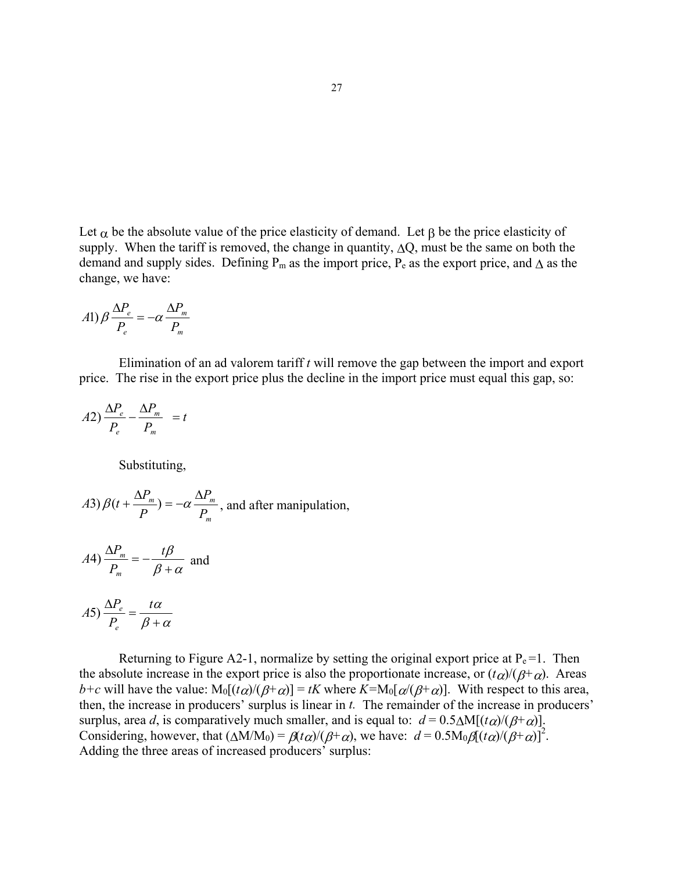Let  $\alpha$  be the absolute value of the price elasticity of demand. Let  $\beta$  be the price elasticity of supply. When the tariff is removed, the change in quantity,  $\Delta Q$ , must be the same on both the demand and supply sides. Defining  $P_m$  as the import price,  $P_e$  as the export price, and  $\Lambda$  as the change, we have:

$$
A1) \beta \frac{\Delta P_e}{P_e} = -\alpha \frac{\Delta P_m}{P_m}
$$

Elimination of an ad valorem tariff *t* will remove the gap between the import and export price. The rise in the export price plus the decline in the import price must equal this gap, so:

$$
A2)\frac{\Delta P_e}{P_e} - \frac{\Delta P_m}{P_m} = t
$$

Substituting,

*A3*) 
$$
\beta(t + \frac{\Delta P_m}{P}) = -\alpha \frac{\Delta P_m}{P_m}
$$
, and after manipulation,

$$
A4) \frac{\Delta P_m}{P_m} = -\frac{t\beta}{\beta + \alpha} \text{ and}
$$

$$
A5)\frac{\Delta P_e}{P_e} = \frac{t\alpha}{\beta + \alpha}
$$

Returning to Figure A2-1, normalize by setting the original export price at  $P_e = 1$ . Then the absolute increase in the export price is also the proportionate increase, or  $(t\alpha)/(\beta+\alpha)$ . Areas *b*+*c* will have the value:  $M_0[(t\alpha)/(B+\alpha)] = tK$  where  $K=M_0[\alpha/(B+\alpha)]$ . With respect to this area, then, the increase in producers' surplus is linear in *t.* The remainder of the increase in producers' surplus, area *d*, is comparatively much smaller, and is equal to:  $d = 0.5\Delta M[(t\alpha)/(\beta+\alpha)]$ . Considering, however, that  $(\Delta M/M_0) = \beta(t\alpha)/(\beta+\alpha)$ , we have:  $d = 0.5M_0\beta[(t\alpha)/(\beta+\alpha)]^2$ . Adding the three areas of increased producers' surplus: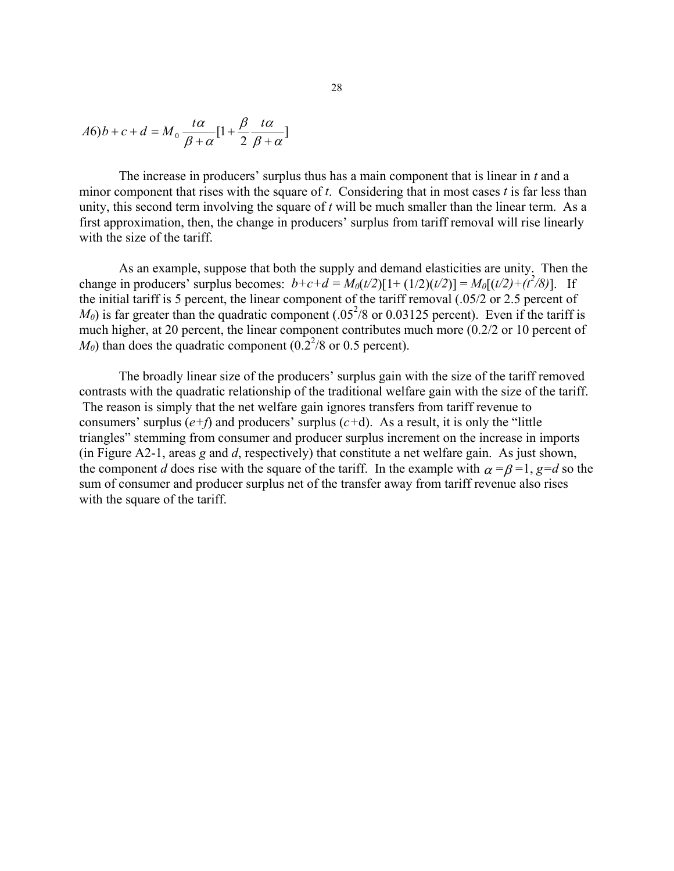$$
A6)b + c + d = M_0 \frac{t\alpha}{\beta + \alpha} [1 + \frac{\beta}{2} \frac{t\alpha}{\beta + \alpha}]
$$

The increase in producers' surplus thus has a main component that is linear in *t* and a minor component that rises with the square of *t*. Considering that in most cases *t* is far less than unity, this second term involving the square of *t* will be much smaller than the linear term. As a first approximation, then, the change in producers' surplus from tariff removal will rise linearly with the size of the tariff.

As an example, suppose that both the supply and demand elasticities are unity. Then the change in producers' surplus becomes:  $b+c+d = M_0(t/2)[1+(1/2)(t/2)] = M_0[(t/2)+(t^2/8)]$ . If the initial tariff is 5 percent, the linear component of the tariff removal (.05/2 or 2.5 percent of  $M_0$ ) is far greater than the quadratic component (.05<sup>2</sup>/8 or 0.03125 percent). Even if the tariff is much higher, at 20 percent, the linear component contributes much more (0.2/2 or 10 percent of  $M_0$ ) than does the quadratic component ( $0.2<sup>2</sup>/8$  or 0.5 percent).

The broadly linear size of the producers' surplus gain with the size of the tariff removed contrasts with the quadratic relationship of the traditional welfare gain with the size of the tariff. The reason is simply that the net welfare gain ignores transfers from tariff revenue to consumers' surplus  $(e+f)$  and producers' surplus  $(c+d)$ . As a result, it is only the "little" triangles" stemming from consumer and producer surplus increment on the increase in imports (in Figure A2-1, areas *g* and *d*, respectively) that constitute a net welfare gain. As just shown, the component *d* does rise with the square of the tariff. In the example with  $\alpha = \beta = 1$ ,  $\beta = d$  so the sum of consumer and producer surplus net of the transfer away from tariff revenue also rises with the square of the tariff.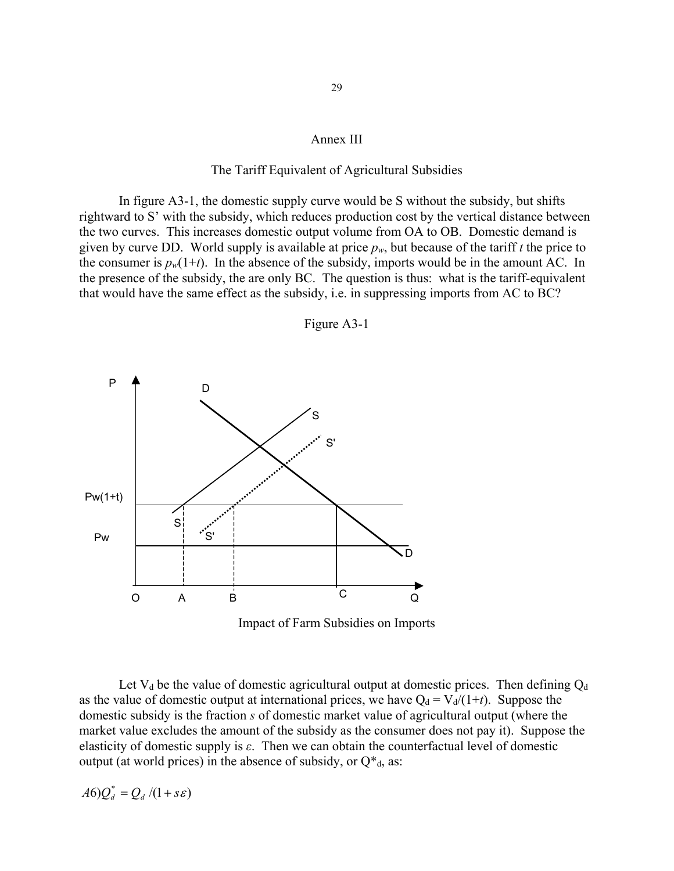#### Annex III

### The Tariff Equivalent of Agricultural Subsidies

In figure A3-1, the domestic supply curve would be S without the subsidy, but shifts rightward to S' with the subsidy, which reduces production cost by the vertical distance between the two curves. This increases domestic output volume from OA to OB. Domestic demand is given by curve DD. World supply is available at price *pw*, but because of the tariff *t* the price to the consumer is  $p_w(1+t)$ . In the absence of the subsidy, imports would be in the amount AC. In the presence of the subsidy, the are only BC. The question is thus: what is the tariff-equivalent that would have the same effect as the subsidy, i.e. in suppressing imports from AC to BC?



Figure A3-1

Let  $V_d$  be the value of domestic agricultural output at domestic prices. Then defining  $Q_d$ as the value of domestic output at international prices, we have  $Q_d = V_d/(1+t)$ . Suppose the domestic subsidy is the fraction *s* of domestic market value of agricultural output (where the market value excludes the amount of the subsidy as the consumer does not pay it). Suppose the elasticity of domestic supply is *ε*. Then we can obtain the counterfactual level of domestic output (at world prices) in the absence of subsidy, or  $Q^*_{d}$ , as:

$$
A6)Q_d^* = Q_d/(1+s\varepsilon)
$$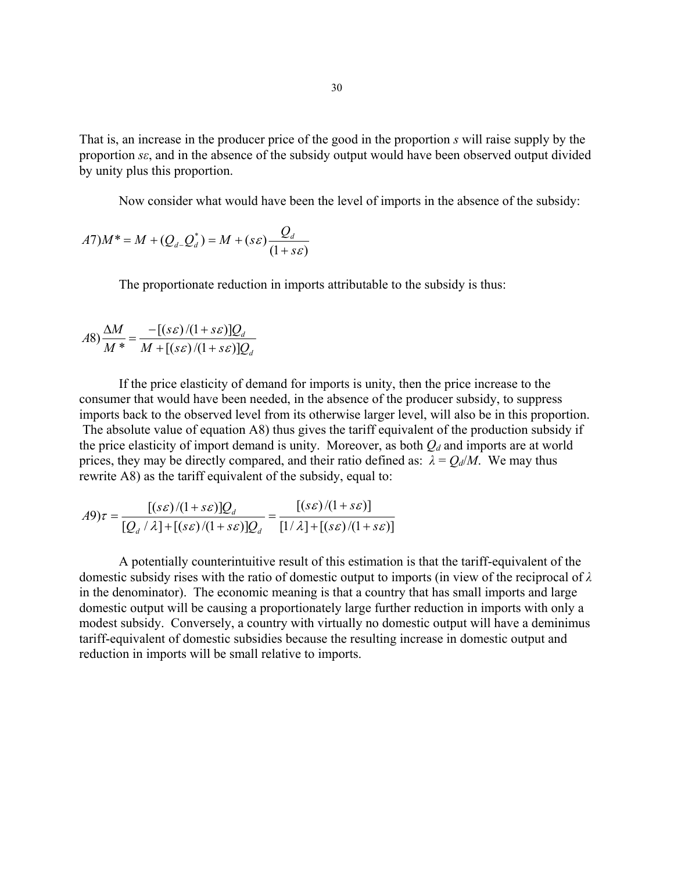That is, an increase in the producer price of the good in the proportion *s* will raise supply by the proportion *sε*, and in the absence of the subsidy output would have been observed output divided by unity plus this proportion.

Now consider what would have been the level of imports in the absence of the subsidy:

$$
A7)M^* = M + (Q_d \cdot Q_d^*) = M + (s\varepsilon) \frac{Q_d}{(1 + s\varepsilon)}
$$

The proportionate reduction in imports attributable to the subsidy is thus:

$$
A8)\frac{\Delta M}{M^*} = \frac{-[(s\epsilon)/(1+s\epsilon)]Q_d}{M + [(s\epsilon)/(1+s\epsilon)]Q_d}
$$

If the price elasticity of demand for imports is unity, then the price increase to the consumer that would have been needed, in the absence of the producer subsidy, to suppress imports back to the observed level from its otherwise larger level, will also be in this proportion. The absolute value of equation A8) thus gives the tariff equivalent of the production subsidy if

the price elasticity of import demand is unity. Moreover, as both  $Q_d$  and imports are at world prices, they may be directly compared, and their ratio defined as:  $\lambda = Q_d/M$ . We may thus rewrite A8) as the tariff equivalent of the subsidy, equal to:

$$
A9)\tau = \frac{[(s\varepsilon)/(1+s\varepsilon)]Q_d}{[Q_d/\lambda] + [(s\varepsilon)/(1+s\varepsilon)]Q_d} = \frac{[(s\varepsilon)/(1+s\varepsilon)]}{[1/\lambda] + [(s\varepsilon)/(1+s\varepsilon)]}
$$

A potentially counterintuitive result of this estimation is that the tariff-equivalent of the domestic subsidy rises with the ratio of domestic output to imports (in view of the reciprocal of *λ* in the denominator). The economic meaning is that a country that has small imports and large domestic output will be causing a proportionately large further reduction in imports with only a modest subsidy. Conversely, a country with virtually no domestic output will have a deminimus tariff-equivalent of domestic subsidies because the resulting increase in domestic output and reduction in imports will be small relative to imports.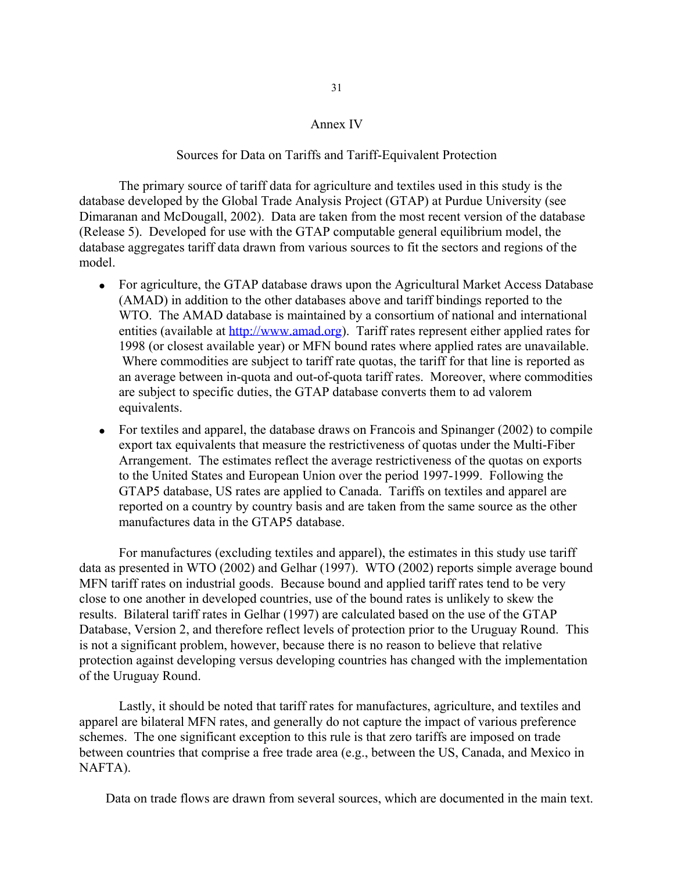#### Annex IV

#### Sources for Data on Tariffs and Tariff-Equivalent Protection

 The primary source of tariff data for agriculture and textiles used in this study is the database developed by the Global Trade Analysis Project (GTAP) at Purdue University (see Dimaranan and McDougall, 2002). Data are taken from the most recent version of the database (Release 5). Developed for use with the GTAP computable general equilibrium model, the database aggregates tariff data drawn from various sources to fit the sectors and regions of the model.

- For agriculture, the GTAP database draws upon the Agricultural Market Access Database (AMAD) in addition to the other databases above and tariff bindings reported to the WTO. The AMAD database is maintained by a consortium of national and international entities (available at [http://www.amad.org\)](http://www.amad.org/). Tariff rates represent either applied rates for 1998 (or closest available year) or MFN bound rates where applied rates are unavailable. Where commodities are subject to tariff rate quotas, the tariff for that line is reported as an average between in-quota and out-of-quota tariff rates. Moreover, where commodities are subject to specific duties, the GTAP database converts them to ad valorem equivalents.
- For textiles and apparel, the database draws on Francois and Spinanger (2002) to compile export tax equivalents that measure the restrictiveness of quotas under the Multi-Fiber Arrangement. The estimates reflect the average restrictiveness of the quotas on exports to the United States and European Union over the period 1997-1999. Following the GTAP5 database, US rates are applied to Canada. Tariffs on textiles and apparel are reported on a country by country basis and are taken from the same source as the other manufactures data in the GTAP5 database.

For manufactures (excluding textiles and apparel), the estimates in this study use tariff data as presented in WTO (2002) and Gelhar (1997). WTO (2002) reports simple average bound MFN tariff rates on industrial goods. Because bound and applied tariff rates tend to be very close to one another in developed countries, use of the bound rates is unlikely to skew the results. Bilateral tariff rates in Gelhar (1997) are calculated based on the use of the GTAP Database, Version 2, and therefore reflect levels of protection prior to the Uruguay Round. This is not a significant problem, however, because there is no reason to believe that relative protection against developing versus developing countries has changed with the implementation of the Uruguay Round.

Lastly, it should be noted that tariff rates for manufactures, agriculture, and textiles and apparel are bilateral MFN rates, and generally do not capture the impact of various preference schemes. The one significant exception to this rule is that zero tariffs are imposed on trade between countries that comprise a free trade area (e.g., between the US, Canada, and Mexico in NAFTA).

Data on trade flows are drawn from several sources, which are documented in the main text.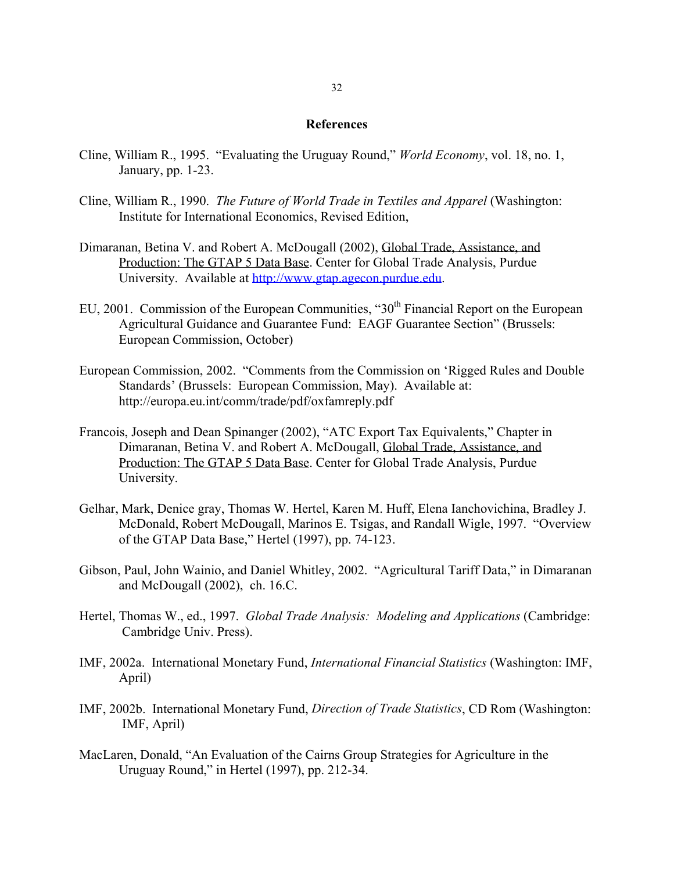#### **References**

- Cline, William R., 1995. "Evaluating the Uruguay Round," *World Economy*, vol. 18, no. 1, January, pp. 1-23.
- Cline, William R., 1990. *The Future of World Trade in Textiles and Apparel* (Washington: Institute for International Economics, Revised Edition,
- Dimaranan, Betina V. and Robert A. McDougall (2002), Global Trade, Assistance, and Production: The GTAP 5 Data Base. Center for Global Trade Analysis, Purdue University. Available at [http://www.gtap.agecon.purdue.edu](http://www.gtap.agecon.purdue.edu/).
- EU, 2001. Commission of the European Communities, "30<sup>th</sup> Financial Report on the European Agricultural Guidance and Guarantee Fund: EAGF Guarantee Section" (Brussels: European Commission, October)
- European Commission, 2002. "Comments from the Commission on 'Rigged Rules and Double Standards' (Brussels: European Commission, May). Available at: http://europa.eu.int/comm/trade/pdf/oxfamreply.pdf
- Francois, Joseph and Dean Spinanger (2002), "ATC Export Tax Equivalents," Chapter in Dimaranan, Betina V. and Robert A. McDougall, Global Trade, Assistance, and Production: The GTAP 5 Data Base. Center for Global Trade Analysis, Purdue University.
- Gelhar, Mark, Denice gray, Thomas W. Hertel, Karen M. Huff, Elena Ianchovichina, Bradley J. McDonald, Robert McDougall, Marinos E. Tsigas, and Randall Wigle, 1997. "Overview of the GTAP Data Base," Hertel (1997), pp. 74-123.
- Gibson, Paul, John Wainio, and Daniel Whitley, 2002. "Agricultural Tariff Data," in Dimaranan and McDougall (2002), ch. 16.C.
- Hertel, Thomas W., ed., 1997. *Global Trade Analysis: Modeling and Applications* (Cambridge: Cambridge Univ. Press).
- IMF, 2002a. International Monetary Fund, *International Financial Statistics* (Washington: IMF, April)
- IMF, 2002b. International Monetary Fund, *Direction of Trade Statistics*, CD Rom (Washington: IMF, April)
- MacLaren, Donald, "An Evaluation of the Cairns Group Strategies for Agriculture in the Uruguay Round," in Hertel (1997), pp. 212-34.